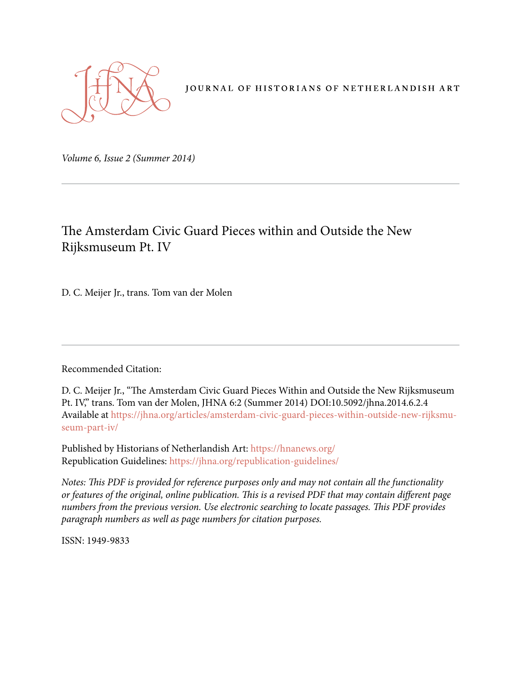

JOURNAL OF HISTORIANS OF NETHERLANDISH ART

*Volume 6, Issue 2 (Summer 2014)* 

## The Amsterdam Civic Guard Pieces within and Outside the New Rijksmuseum Pt. IV

D. C. Meijer Jr., trans. Tom van der Molen

Recommended Citation:

D. C. Meijer Jr., "The Amsterdam Civic Guard Pieces Within and Outside the New Rijksmuseum Pt. IV," trans. Tom van der Molen, JHNA 6:2 (Summer 2014) DOI:10.5092/jhna.2014.6.2.4 Available at https://jhna.org/articles/amsterdam-civic-guard-pieces-within-outside-new-rijksmuseum-part-iv/

Published by Historians of Netherlandish Art: https://hnanews.org/ Republication Guidelines: https://jhna.org/republication-guidelines/

*Notes: This PDF is provided for reference purposes only and may not contain all the functionality or features of the original, online publication. This is a revised PDF that may contain different page numbers from the previous version. Use electronic searching to locate passages. This PDF provides paragraph numbers as well as page numbers for citation purposes.*

ISSN: 1949-9833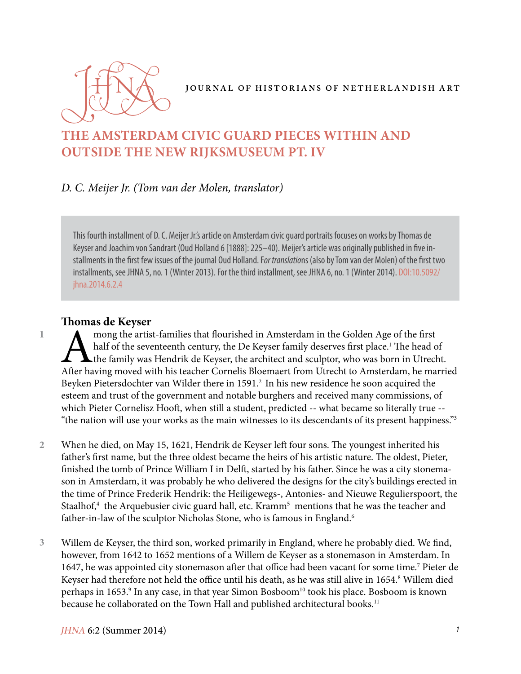

# **THE AMSTERDAM CIVIC GUARD PIECES WITHIN AND OUTSIDE THE NEW RIJKSMUSEUM PT. IV**

## *D. C. Meijer Jr. (Tom van der Molen, translator)*

This fourth installment of D. C. Meijer Jr.'s article on Amsterdam civic guard portraits focuses on works by Thomas de Keyser and Joachim von Sandrart (Oud Holland 6 [1888]: 225–40). Meijer's article was originally published in five installments in the first few issues of the journal Oud Holland. F*or translatio*ns (also by Tom van der Molen) of the first two installments, see JHNA 5, no. 1 (Winter 2013). For the third installment, see JHNA 6, no. 1 (Winter 2014). DOI:10.5092/ jhna.2014.6.2.4

#### **Thomas de Keyser**

**1**

mong the artist-families that flourished in Amsterdam in the Golden Age of the first<br>half of the seventeenth century, the De Keyser family deserves first place.<sup>1</sup> The head c<br>the family was Hendrik de Keyser, the architect half of the seventeenth century, the De Keyser family deserves first place.<sup>1</sup> The head of A the family was Hendrik de Keyser, the architect and sculptor, who was born in Utrecht. After having moved with his teacher Cornelis Bloemaert from Utrecht to Amsterdam, he married Beyken Pietersdochter van Wilder there in 1591.<sup>2</sup> In his new residence he soon acquired the esteem and trust of the government and notable burghers and received many commissions, of which Pieter Cornelisz Hooft, when still a student, predicted -- what became so literally true -- "the nation will use your works as the main witnesses to its descendants of its present happiness."3

- When he died, on May 15, 1621, Hendrik de Keyser left four sons. The youngest inherited his father's first name, but the three oldest became the heirs of his artistic nature. The oldest, Pieter, finished the tomb of Prince William I in Delft, started by his father. Since he was a city stonemason in Amsterdam, it was probably he who delivered the designs for the city's buildings erected in the time of Prince Frederik Hendrik: the Heiligewegs-, Antonies- and Nieuwe Regulierspoort, the Staalhof,<sup>4</sup> the Arquebusier civic guard hall, etc. Kramm<sup>5</sup> mentions that he was the teacher and father-in-law of the sculptor Nicholas Stone, who is famous in England.<sup>6</sup> **2**
- Willem de Keyser, the third son, worked primarily in England, where he probably died. We find, however, from 1642 to 1652 mentions of a Willem de Keyser as a stonemason in Amsterdam. In 1647, he was appointed city stonemason after that office had been vacant for some time.<sup>7</sup> Pieter de Keyser had therefore not held the office until his death, as he was still alive in 1654.<sup>8</sup> Willem died perhaps in 1653.<sup>9</sup> In any case, in that year Simon Bosboom<sup>10</sup> took his place. Bosboom is known because he collaborated on the Town Hall and published architectural books.<sup>11</sup> **3**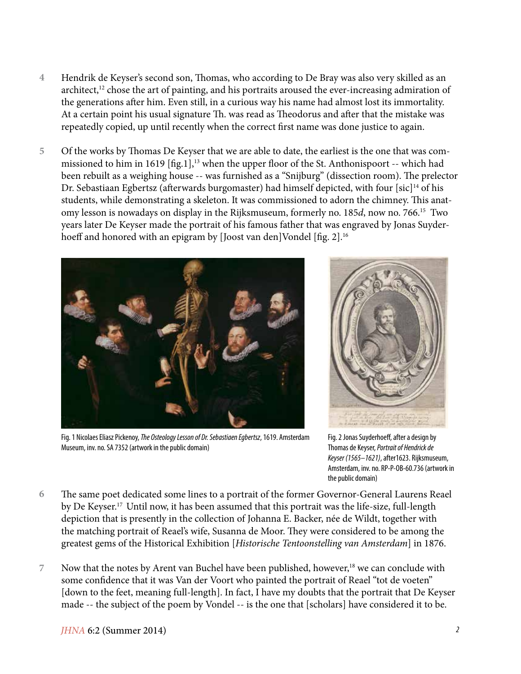- Hendrik de Keyser's second son, Thomas, who according to De Bray was also very skilled as an architect,<sup>12</sup> chose the art of painting, and his portraits aroused the ever-increasing admiration of the generations after him. Even still, in a curious way his name had almost lost its immortality. At a certain point his usual signature Th. was read as Theodorus and after that the mistake was repeatedly copied, up until recently when the correct first name was done justice to again. **4**
- Of the works by Thomas De Keyser that we are able to date, the earliest is the one that was commissioned to him in 1619 [fig.1],<sup>13</sup> when the upper floor of the St. Anthonispoort -- which had been rebuilt as a weighing house -- was furnished as a "Snijburg" (dissection room). The prelector Dr. Sebastiaan Egbertsz (afterwards burgomaster) had himself depicted, with four [sic]<sup>14</sup> of his students, while demonstrating a skeleton. It was commissioned to adorn the chimney. This anatomy lesson is nowadays on display in the Rijksmuseum, formerly no. 185*d*, now no. 766.15 Two years later De Keyser made the portrait of his famous father that was engraved by Jonas Suyderhoeff and honored with an epigram by [Joost van den]Vondel [fig. 2].<sup>16</sup> **5**



Fig. 1 Nicolaes Eliasz Pickenoy, *The Osteology Lesson of Dr. Sebastiaen Egbertsz*, 1619. Amsterdam Museum, inv. no. SA 7352 (artwork in the public domain)



Fig. 2 Jonas Suyderhoeff, after a design by Thomas de Keyser, *Portrait of Hendrick de Keyser (1565–1621)*, after1623. Rijksmuseum, Amsterdam, inv. no. RP-P-OB-60.736 (artwork in the public domain)

- The same poet dedicated some lines to a portrait of the former Governor-General Laurens Reael by De Keyser.17 Until now, it has been assumed that this portrait was the life-size, full-length depiction that is presently in the collection of Johanna E. Backer, née de Wildt, together with the matching portrait of Reael's wife, Susanna de Moor. They were considered to be among the greatest gems of the Historical Exhibition [*Historische Tentoonstelling van Amsterdam*] in 1876. **6**
- Now that the notes by Arent van Buchel have been published, however,<sup>18</sup> we can conclude with some confidence that it was Van der Voort who painted the portrait of Reael "tot de voeten" [down to the feet, meaning full-length]. In fact, I have my doubts that the portrait that De Keyser made -- the subject of the poem by Vondel -- is the one that [scholars] have considered it to be. **7**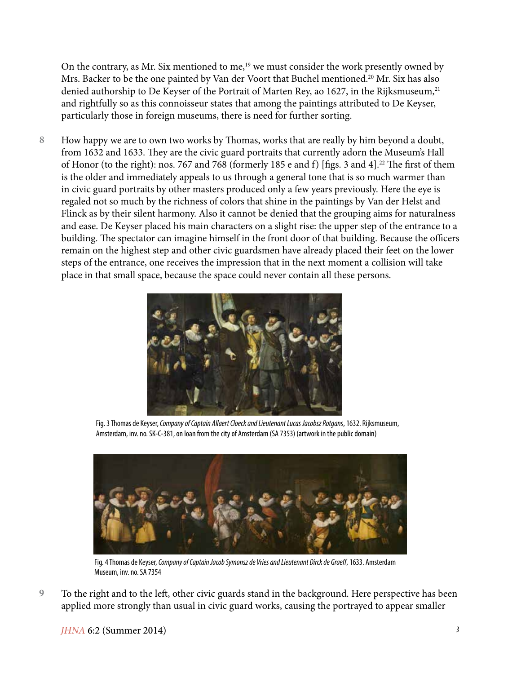On the contrary, as Mr. Six mentioned to me, $19$  we must consider the work presently owned by Mrs. Backer to be the one painted by Van der Voort that Buchel mentioned.<sup>20</sup> Mr. Six has also denied authorship to De Keyser of the Portrait of Marten Rey, ao 1627, in the Rijksmuseum,<sup>21</sup> and rightfully so as this connoisseur states that among the paintings attributed to De Keyser, particularly those in foreign museums, there is need for further sorting.

How happy we are to own two works by Thomas, works that are really by him beyond a doubt, from 1632 and 1633. They are the civic guard portraits that currently adorn the Museum's Hall of Honor (to the right): nos. 767 and 768 (formerly 185 e and f) [figs. 3 and 4].<sup>22</sup> The first of them is the older and immediately appeals to us through a general tone that is so much warmer than in civic guard portraits by other masters produced only a few years previously. Here the eye is regaled not so much by the richness of colors that shine in the paintings by Van der Helst and Flinck as by their silent harmony. Also it cannot be denied that the grouping aims for naturalness and ease. De Keyser placed his main characters on a slight rise: the upper step of the entrance to a building. The spectator can imagine himself in the front door of that building. Because the officers remain on the highest step and other civic guardsmen have already placed their feet on the lower steps of the entrance, one receives the impression that in the next moment a collision will take place in that small space, because the space could never contain all these persons. **8**



Fig. 3 Thomas de Keyser, *Company of Captain Allaert Cloeck and Lieutenant Lucas Jacobsz Rotgans*, 1632. Rijksmuseum, Amsterdam, inv. no. SK-C-381, on loan from the city of Amsterdam (SA 7353) (artwork in the public domain)



Fig. 4 Thomas de Keyser, *Company of Captain Jacob Symonsz de Vries and Lieutenant Dirck de Graeff*, 1633. Amsterdam Museum, inv. no. SA 7354

To the right and to the left, other civic guards stand in the background. Here perspective has been applied more strongly than usual in civic guard works, causing the portrayed to appear smaller **9**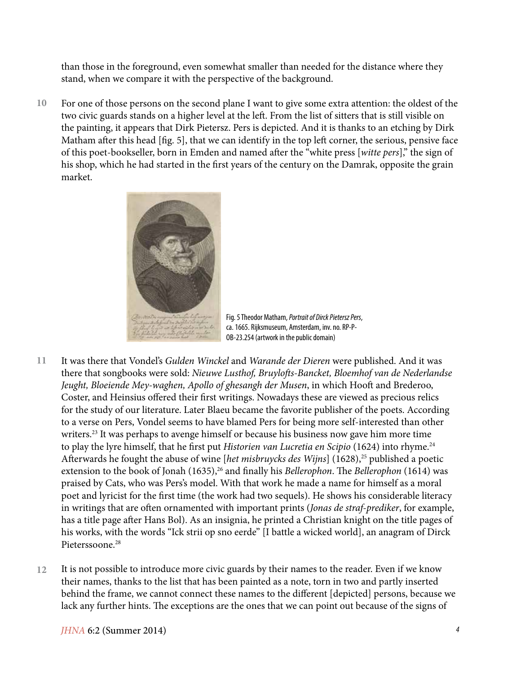than those in the foreground, even somewhat smaller than needed for the distance where they stand, when we compare it with the perspective of the background.

For one of those persons on the second plane I want to give some extra attention: the oldest of the two civic guards stands on a higher level at the left. From the list of sitters that is still visible on the painting, it appears that Dirk Pietersz. Pers is depicted. And it is thanks to an etching by Dirk Matham after this head [fig. 5], that we can identify in the top left corner, the serious, pensive face of this poet-bookseller, born in Emden and named after the "white press [*witte pers*]," the sign of his shop, which he had started in the first years of the century on the Damrak, opposite the grain market. **10**



Fig. 5 Theodor Matham, *Portrait of Dirck Pietersz Pers*, ca. 1665. Rijksmuseum, Amsterdam, inv. no. RP-P-OB-23.254 (artwork in the public domain)

- It was there that Vondel's *Gulden Winckel* and *Warande der Dieren* were published. And it was there that songbooks were sold: *Nieuwe Lusthof, Bruylofts-Bancket, Bloemhof van de Nederlandse Jeught, Bloeiende Mey-waghen, Apollo of ghesangh der Musen*, in which Hooft and Brederoo, Coster, and Heinsius offered their first writings. Nowadays these are viewed as precious relics for the study of our literature. Later Blaeu became the favorite publisher of the poets. According to a verse on Pers, Vondel seems to have blamed Pers for being more self-interested than other writers.<sup>23</sup> It was perhaps to avenge himself or because his business now gave him more time to play the lyre himself, that he first put *Historien van Lucretia en Scipio* (1624) into rhyme.<sup>24</sup> Afterwards he fought the abuse of wine [*het misbruycks des Wijns*] (1628),<sup>25</sup> published a poetic extension to the book of Jonah (1635),<sup>26</sup> and finally his *Bellerophon*. The *Bellerophon* (1614) was praised by Cats, who was Pers's model. With that work he made a name for himself as a moral poet and lyricist for the first time (the work had two sequels). He shows his considerable literacy in writings that are often ornamented with important prints (*Jonas de straf-prediker*, for example, has a title page after Hans Bol). As an insignia, he printed a Christian knight on the title pages of his works, with the words "Ick strii op sno eerde" [I battle a wicked world], an anagram of Dirck Pieterssoone.<sup>28</sup> **11**
- It is not possible to introduce more civic guards by their names to the reader. Even if we know their names, thanks to the list that has been painted as a note, torn in two and partly inserted behind the frame, we cannot connect these names to the different [depicted] persons, because we lack any further hints. The exceptions are the ones that we can point out because of the signs of **12**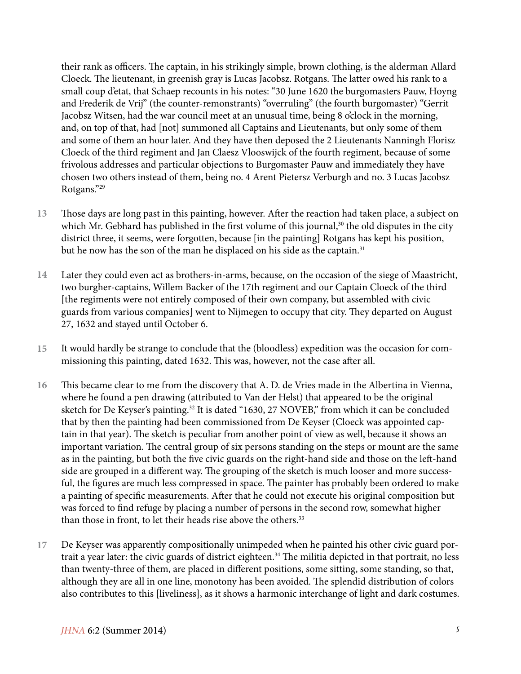their rank as officers. The captain, in his strikingly simple, brown clothing, is the alderman Allard Cloeck. The lieutenant, in greenish gray is Lucas Jacobsz. Rotgans. The latter owed his rank to a small coup d'etat, that Schaep recounts in his notes: "30 June 1620 the burgomasters Pauw, Hoyng and Frederik de Vrij" (the counter-remonstrants) "overruling" (the fourth burgomaster) "Gerrit Jacobsz Witsen, had the war council meet at an unusual time, being 8 o'clock in the morning, and, on top of that, had [not] summoned all Captains and Lieutenants, but only some of them and some of them an hour later. And they have then deposed the 2 Lieutenants Nanningh Florisz Cloeck of the third regiment and Jan Claesz Vlooswijck of the fourth regiment, because of some frivolous addresses and particular objections to Burgomaster Pauw and immediately they have chosen two others instead of them, being no. 4 Arent Pietersz Verburgh and no. 3 Lucas Jacobsz Rotgans."29

- Those days are long past in this painting, however. After the reaction had taken place, a subject on which Mr. Gebhard has published in the first volume of this journal,<sup>30</sup> the old disputes in the city district three, it seems, were forgotten, because [in the painting] Rotgans has kept his position, but he now has the son of the man he displaced on his side as the captain.<sup>31</sup> **13**
- Later they could even act as brothers-in-arms, because, on the occasion of the siege of Maastricht, two burgher-captains, Willem Backer of the 17th regiment and our Captain Cloeck of the third [the regiments were not entirely composed of their own company, but assembled with civic guards from various companies] went to Nijmegen to occupy that city. They departed on August 27, 1632 and stayed until October 6. **14**
- It would hardly be strange to conclude that the (bloodless) expedition was the occasion for commissioning this painting, dated 1632. This was, however, not the case after all. **15**
- This became clear to me from the discovery that A. D. de Vries made in the Albertina in Vienna, where he found a pen drawing (attributed to Van der Helst) that appeared to be the original sketch for De Keyser's painting.<sup>32</sup> It is dated "1630, 27 NOVEB," from which it can be concluded that by then the painting had been commissioned from De Keyser (Cloeck was appointed captain in that year). The sketch is peculiar from another point of view as well, because it shows an important variation. The central group of six persons standing on the steps or mount are the same as in the painting, but both the five civic guards on the right-hand side and those on the left-hand side are grouped in a different way. The grouping of the sketch is much looser and more successful, the figures are much less compressed in space. The painter has probably been ordered to make a painting of specific measurements. After that he could not execute his original composition but was forced to find refuge by placing a number of persons in the second row, somewhat higher than those in front, to let their heads rise above the others.<sup>33</sup> **16**
- De Keyser was apparently compositionally unimpeded when he painted his other civic guard portrait a year later: the civic guards of district eighteen.<sup>34</sup> The militia depicted in that portrait, no less than twenty-three of them, are placed in different positions, some sitting, some standing, so that, although they are all in one line, monotony has been avoided. The splendid distribution of colors also contributes to this [liveliness], as it shows a harmonic interchange of light and dark costumes. **17**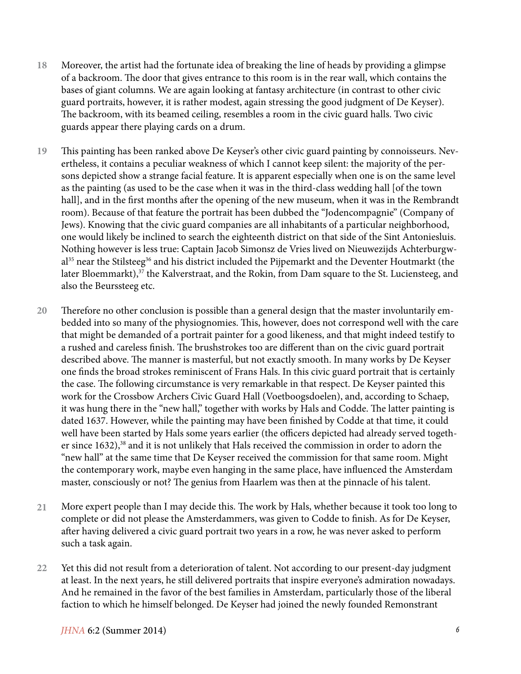- Moreover, the artist had the fortunate idea of breaking the line of heads by providing a glimpse of a backroom. The door that gives entrance to this room is in the rear wall, which contains the bases of giant columns. We are again looking at fantasy architecture (in contrast to other civic guard portraits, however, it is rather modest, again stressing the good judgment of De Keyser). The backroom, with its beamed ceiling, resembles a room in the civic guard halls. Two civic guards appear there playing cards on a drum. **18**
- This painting has been ranked above De Keyser's other civic guard painting by connoisseurs. Nevertheless, it contains a peculiar weakness of which I cannot keep silent: the majority of the persons depicted show a strange facial feature. It is apparent especially when one is on the same level as the painting (as used to be the case when it was in the third-class wedding hall [of the town hall], and in the first months after the opening of the new museum, when it was in the Rembrandt room). Because of that feature the portrait has been dubbed the "Jodencompagnie" (Company of Jews). Knowing that the civic guard companies are all inhabitants of a particular neighborhood, one would likely be inclined to search the eighteenth district on that side of the Sint Antoniesluis. Nothing however is less true: Captain Jacob Simonsz de Vries lived on Nieuwezijds Achterburgwal<sup>35</sup> near the Stilsteeg<sup>36</sup> and his district included the Pijpemarkt and the Deventer Houtmarkt (the later Bloemmarkt),<sup>37</sup> the Kalverstraat, and the Rokin, from Dam square to the St. Luciensteeg, and also the Beurssteeg etc. **19**
- Therefore no other conclusion is possible than a general design that the master involuntarily embedded into so many of the physiognomies. This, however, does not correspond well with the care that might be demanded of a portrait painter for a good likeness, and that might indeed testify to a rushed and careless finish. The brushstrokes too are different than on the civic guard portrait described above. The manner is masterful, but not exactly smooth. In many works by De Keyser one finds the broad strokes reminiscent of Frans Hals. In this civic guard portrait that is certainly the case. The following circumstance is very remarkable in that respect. De Keyser painted this work for the Crossbow Archers Civic Guard Hall (Voetboogsdoelen), and, according to Schaep, it was hung there in the "new hall," together with works by Hals and Codde. The latter painting is dated 1637. However, while the painting may have been finished by Codde at that time, it could well have been started by Hals some years earlier (the officers depicted had already served together since 1632),<sup>38</sup> and it is not unlikely that Hals received the commission in order to adorn the "new hall" at the same time that De Keyser received the commission for that same room. Might the contemporary work, maybe even hanging in the same place, have influenced the Amsterdam master, consciously or not? The genius from Haarlem was then at the pinnacle of his talent. **20**
- More expert people than I may decide this. The work by Hals, whether because it took too long to complete or did not please the Amsterdammers, was given to Codde to finish. As for De Keyser, after having delivered a civic guard portrait two years in a row, he was never asked to perform such a task again. **21**
- Yet this did not result from a deterioration of talent. Not according to our present-day judgment at least. In the next years, he still delivered portraits that inspire everyone's admiration nowadays. And he remained in the favor of the best families in Amsterdam, particularly those of the liberal faction to which he himself belonged. De Keyser had joined the newly founded Remonstrant **22**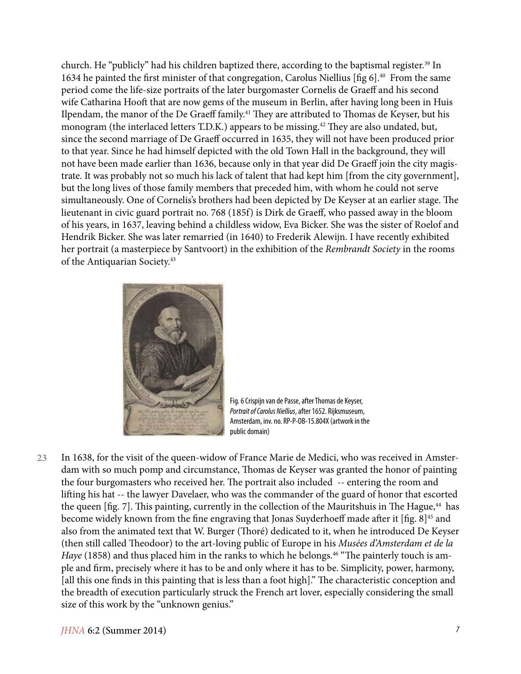church. He "publicly" had his children baptized there, according to the baptismal register.<sup>39</sup> In 1634 he painted the first minister of that congregation, Carolus Niellius [fig 6].40 From the same period come the life-size portraits of the later burgomaster Cornelis de Graeff and his second wife Catharina Hooft that are now gems of the museum in Berlin, after having long been in Huis Ilpendam, the manor of the De Graeff family.<sup>41</sup> They are attributed to Thomas de Keyser, but his monogram (the interlaced letters T.D.K.) appears to be missing.<sup>42</sup> They are also undated, but, since the second marriage of De Graeff occurred in 1635, they will not have been produced prior to that year. Since he had himself depicted with the old Town Hall in the background, they will not have been made earlier than 1636, because only in that year did De Graeff join the city magistrate. It was probably not so much his lack of talent that had kept him [from the city government], but the long lives of those family members that preceded him, with whom he could not serve simultaneously. One of Cornelis's brothers had been depicted by De Keyser at an earlier stage. The lieutenant in civic guard portrait no. 768 (185f) is Dirk de Graeff, who passed away in the bloom of his years, in 1637, leaving behind a childless widow, Eva Bicker. She was the sister of Roelof and Hendrik Bicker. She was later remarried (in 1640) to Frederik Alewijn. I have recently exhibited her portrait (a masterpiece by Santvoort) in the exhibition of the *Rembrandt Society* in the rooms of the Antiquarian Society.43



Fig. 6 Crispijn van de Passe, after Thomas de Keyser, *Portrait of Carolus Niellius*, after 1652. Rijksmuseum, Amsterdam, inv. no. RP-P-OB-15.804X (artwork in the public domain)

In 1638, for the visit of the queen-widow of France Marie de Medici, who was received in Amsterdam with so much pomp and circumstance, Thomas de Keyser was granted the honor of painting the four burgomasters who received her. The portrait also included -- entering the room and lifting his hat -- the lawyer Davelaer, who was the commander of the guard of honor that escorted the queen  $[fig. 7]$ . This painting, currently in the collection of the Mauritshuis in The Hague,<sup>44</sup> has become widely known from the fine engraving that Jonas Suyderhoeff made after it [fig. 8]<sup>45</sup> and also from the animated text that W. Burger (Thoré) dedicated to it, when he introduced De Keyser (then still called Theodoor) to the art-loving public of Europe in his *Musées d'Amsterdam et de la Haye* (1858) and thus placed him in the ranks to which he belongs.<sup>46</sup> "The painterly touch is ample and firm, precisely where it has to be and only where it has to be. Simplicity, power, harmony, [all this one finds in this painting that is less than a foot high]." The characteristic conception and the breadth of execution particularly struck the French art lover, especially considering the small size of this work by the "unknown genius." **23**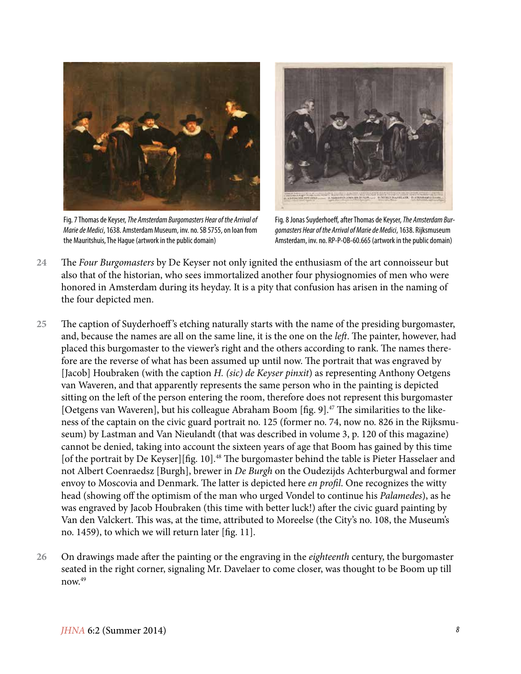

Fig. 7 Thomas de Keyser, *The Amsterdam Burgomasters Hear of the Arrival of Marie de Medici*, 1638. Amsterdam Museum, inv. no. SB 5755, on loan from the Mauritshuis, The Hague (artwork in the public domain)



Fig. 8 Jonas Suyderhoeff, after Thomas de Keyser, *The Amsterdam Burgomasters Hear of the Arrival of Marie de Medici*, 1638. Rijksmuseum Amsterdam, inv. no. RP-P-OB-60.665 (artwork in the public domain)

- The *Four Burgomasters* by De Keyser not only ignited the enthusiasm of the art connoisseur but also that of the historian, who sees immortalized another four physiognomies of men who were honored in Amsterdam during its heyday. It is a pity that confusion has arisen in the naming of the four depicted men. **24**
- The caption of Suyderhoeff 's etching naturally starts with the name of the presiding burgomaster, and, because the names are all on the same line, it is the one on the *left*. The painter, however, had placed this burgomaster to the viewer's right and the others according to rank. The names therefore are the reverse of what has been assumed up until now. The portrait that was engraved by [Jacob] Houbraken (with the caption *H. (sic) de Keyser pinxit*) as representing Anthony Oetgens van Waveren, and that apparently represents the same person who in the painting is depicted sitting on the left of the person entering the room, therefore does not represent this burgomaster [Oetgens van Waveren], but his colleague Abraham Boom [fig. 9].<sup>47</sup> The similarities to the likeness of the captain on the civic guard portrait no. 125 (former no. 74, now no. 826 in the Rijksmuseum) by Lastman and Van Nieulandt (that was described in volume 3, p. 120 of this magazine) cannot be denied, taking into account the sixteen years of age that Boom has gained by this time [of the portrait by De Keyser][fig. 10].<sup>48</sup> The burgomaster behind the table is Pieter Hasselaer and not Albert Coenraedsz [Burgh], brewer in *De Burgh* on the Oudezijds Achterburgwal and former envoy to Moscovia and Denmark. The latter is depicted here *en profil*. One recognizes the witty head (showing off the optimism of the man who urged Vondel to continue his *Palamedes*), as he was engraved by Jacob Houbraken (this time with better luck!) after the civic guard painting by Van den Valckert. This was, at the time, attributed to Moreelse (the City's no. 108, the Museum's no. 1459), to which we will return later [fig. 11]. **25**
- On drawings made after the painting or the engraving in the *eighteenth* century, the burgomaster seated in the right corner, signaling Mr. Davelaer to come closer, was thought to be Boom up till now.49 **26**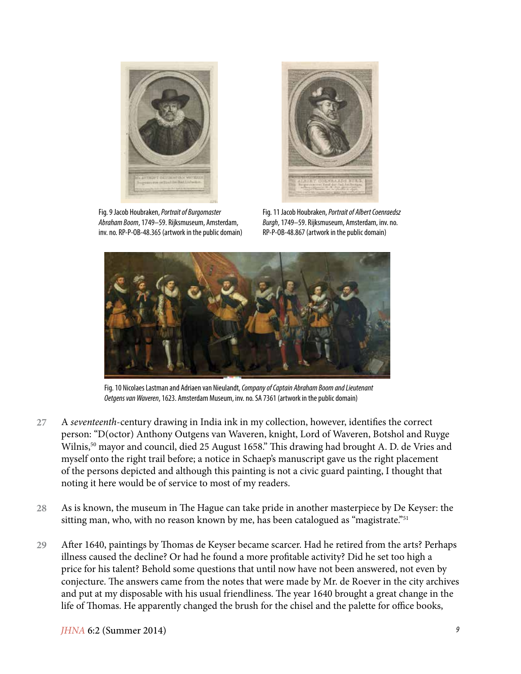

Fig. 9 Jacob Houbraken, *Portrait of Burgomaster Abraham Boom*, 1749–59. Rijksmuseum, Amsterdam, inv. no. RP-P-OB-48.365 (artwork in the public domain)



Fig. 11 Jacob Houbraken, *Portrait of Albert Coenraedsz Burgh*, 1749–59. Rijksmuseum, Amsterdam, inv. no. RP-P-OB-48.867 (artwork in the public domain)



Fig. 10 Nicolaes Lastman and Adriaen van Nieulandt, *Company of Captain Abraham Boom and Lieutenant Oetgens van Waveren*, 1623. Amsterdam Museum, inv. no. SA 7361 (artwork in the public domain)

- A *seventeenth*-century drawing in India ink in my collection, however, identifies the correct person: "D(octor) Anthony Outgens van Waveren, knight, Lord of Waveren, Botshol and Ruyge Wilnis,<sup>50</sup> mayor and council, died 25 August 1658." This drawing had brought A. D. de Vries and myself onto the right trail before; a notice in Schaep's manuscript gave us the right placement of the persons depicted and although this painting is not a civic guard painting, I thought that noting it here would be of service to most of my readers. **27**
- As is known, the museum in The Hague can take pride in another masterpiece by De Keyser: the sitting man, who, with no reason known by me, has been catalogued as "magistrate."<sup>51</sup> **28**
- After 1640, paintings by Thomas de Keyser became scarcer. Had he retired from the arts? Perhaps illness caused the decline? Or had he found a more profitable activity? Did he set too high a price for his talent? Behold some questions that until now have not been answered, not even by conjecture. The answers came from the notes that were made by Mr. de Roever in the city archives and put at my disposable with his usual friendliness. The year 1640 brought a great change in the life of Thomas. He apparently changed the brush for the chisel and the palette for office books, **29**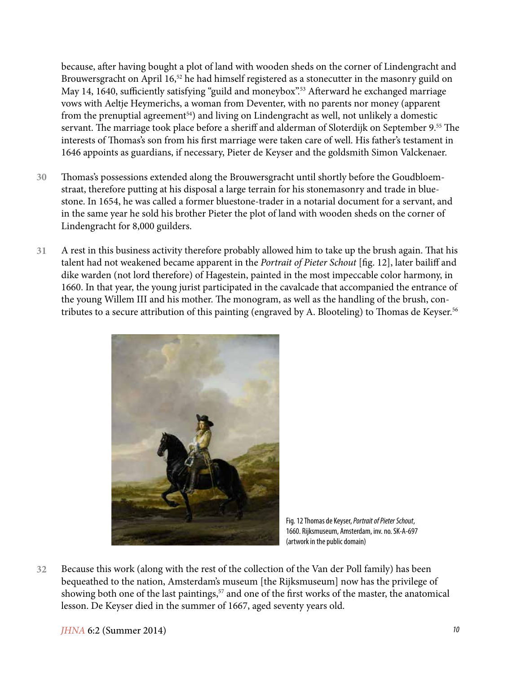because, after having bought a plot of land with wooden sheds on the corner of Lindengracht and Brouwersgracht on April 16,<sup>52</sup> he had himself registered as a stonecutter in the masonry guild on May 14, 1640, sufficiently satisfying "guild and moneybox".<sup>53</sup> Afterward he exchanged marriage vows with Aeltje Heymerichs, a woman from Deventer, with no parents nor money (apparent from the prenuptial agreement<sup>54</sup>) and living on Lindengracht as well, not unlikely a domestic servant. The marriage took place before a sheriff and alderman of Sloterdijk on September 9.<sup>55</sup> The interests of Thomas's son from his first marriage were taken care of well. His father's testament in 1646 appoints as guardians, if necessary, Pieter de Keyser and the goldsmith Simon Valckenaer.

- Thomas's possessions extended along the Brouwersgracht until shortly before the Goudbloemstraat, therefore putting at his disposal a large terrain for his stonemasonry and trade in bluestone. In 1654, he was called a former bluestone-trader in a notarial document for a servant, and in the same year he sold his brother Pieter the plot of land with wooden sheds on the corner of Lindengracht for 8,000 guilders. **30**
- A rest in this business activity therefore probably allowed him to take up the brush again. That his talent had not weakened became apparent in the *Portrait of Pieter Schout* [fig. 12], later bailiff and dike warden (not lord therefore) of Hagestein, painted in the most impeccable color harmony, in 1660. In that year, the young jurist participated in the cavalcade that accompanied the entrance of the young Willem III and his mother. The monogram, as well as the handling of the brush, contributes to a secure attribution of this painting (engraved by A. Blooteling) to Thomas de Keyser.<sup>56</sup> **31**



Fig. 12 Thomas de Keyser, *Portrait of Pieter Schout*, 1660. Rijksmuseum, Amsterdam, inv. no. SK-A-697 (artwork in the public domain)

Because this work (along with the rest of the collection of the Van der Poll family) has been bequeathed to the nation, Amsterdam's museum [the Rijksmuseum] now has the privilege of showing both one of the last paintings,<sup>57</sup> and one of the first works of the master, the anatomical lesson. De Keyser died in the summer of 1667, aged seventy years old. **32**

*JHNA* 6:2 (Summer 2014) *10*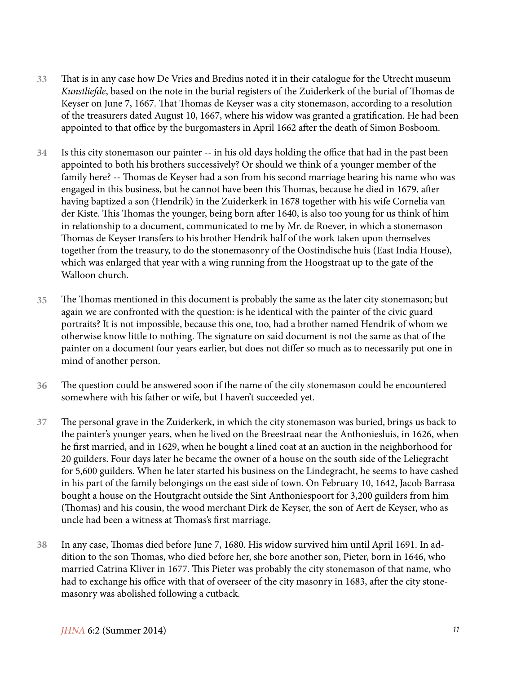- That is in any case how De Vries and Bredius noted it in their catalogue for the Utrecht museum *Kunstliefde*, based on the note in the burial registers of the Zuiderkerk of the burial of Thomas de Keyser on June 7, 1667. That Thomas de Keyser was a city stonemason, according to a resolution of the treasurers dated August 10, 1667, where his widow was granted a gratification. He had been appointed to that office by the burgomasters in April 1662 after the death of Simon Bosboom. **33**
- Is this city stonemason our painter -- in his old days holding the office that had in the past been appointed to both his brothers successively? Or should we think of a younger member of the family here? -- Thomas de Keyser had a son from his second marriage bearing his name who was engaged in this business, but he cannot have been this Thomas, because he died in 1679, after having baptized a son (Hendrik) in the Zuiderkerk in 1678 together with his wife Cornelia van der Kiste. This Thomas the younger, being born after 1640, is also too young for us think of him in relationship to a document, communicated to me by Mr. de Roever, in which a stonemason Thomas de Keyser transfers to his brother Hendrik half of the work taken upon themselves together from the treasury, to do the stonemasonry of the Oostindische huis (East India House), which was enlarged that year with a wing running from the Hoogstraat up to the gate of the Walloon church. **34**
- The Thomas mentioned in this document is probably the same as the later city stonemason; but again we are confronted with the question: is he identical with the painter of the civic guard portraits? It is not impossible, because this one, too, had a brother named Hendrik of whom we otherwise know little to nothing. The signature on said document is not the same as that of the painter on a document four years earlier, but does not differ so much as to necessarily put one in mind of another person. **35**
- The question could be answered soon if the name of the city stonemason could be encountered somewhere with his father or wife, but I haven't succeeded yet. **36**
- The personal grave in the Zuiderkerk, in which the city stonemason was buried, brings us back to the painter's younger years, when he lived on the Breestraat near the Anthoniesluis, in 1626, when he first married, and in 1629, when he bought a lined coat at an auction in the neighborhood for 20 guilders. Four days later he became the owner of a house on the south side of the Leliegracht for 5,600 guilders. When he later started his business on the Lindegracht, he seems to have cashed in his part of the family belongings on the east side of town. On February 10, 1642, Jacob Barrasa bought a house on the Houtgracht outside the Sint Anthoniespoort for 3,200 guilders from him (Thomas) and his cousin, the wood merchant Dirk de Keyser, the son of Aert de Keyser, who as uncle had been a witness at Thomas's first marriage. **37**
- In any case, Thomas died before June 7, 1680. His widow survived him until April 1691. In addition to the son Thomas, who died before her, she bore another son, Pieter, born in 1646, who married Catrina Kliver in 1677. This Pieter was probably the city stonemason of that name, who had to exchange his office with that of overseer of the city masonry in 1683, after the city stonemasonry was abolished following a cutback. **38**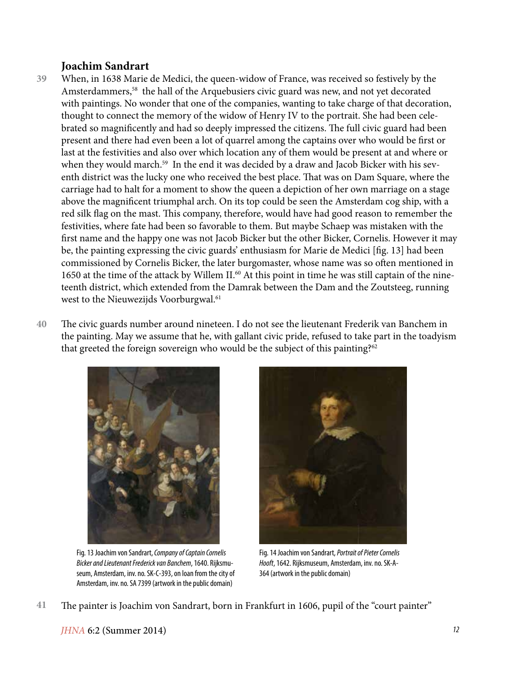## **Joachim Sandrart**

- When, in 1638 Marie de Medici, the queen-widow of France, was received so festively by the Amsterdammers,<sup>58</sup> the hall of the Arquebusiers civic guard was new, and not yet decorated with paintings. No wonder that one of the companies, wanting to take charge of that decoration, thought to connect the memory of the widow of Henry IV to the portrait. She had been celebrated so magnificently and had so deeply impressed the citizens. The full civic guard had been present and there had even been a lot of quarrel among the captains over who would be first or last at the festivities and also over which location any of them would be present at and where or when they would march.<sup>59</sup> In the end it was decided by a draw and Jacob Bicker with his seventh district was the lucky one who received the best place. That was on Dam Square, where the carriage had to halt for a moment to show the queen a depiction of her own marriage on a stage above the magnificent triumphal arch. On its top could be seen the Amsterdam cog ship, with a red silk flag on the mast. This company, therefore, would have had good reason to remember the festivities, where fate had been so favorable to them. But maybe Schaep was mistaken with the first name and the happy one was not Jacob Bicker but the other Bicker, Cornelis. However it may be, the painting expressing the civic guards' enthusiasm for Marie de Medici [fig. 13] had been commissioned by Cornelis Bicker, the later burgomaster, whose name was so often mentioned in 1650 at the time of the attack by Willem II.<sup>60</sup> At this point in time he was still captain of the nineteenth district, which extended from the Damrak between the Dam and the Zoutsteeg, running west to the Nieuwezijds Voorburgwal.<sup>61</sup> **39**
- The civic guards number around nineteen. I do not see the lieutenant Frederik van Banchem in the painting. May we assume that he, with gallant civic pride, refused to take part in the toadyism that greeted the foreign sovereign who would be the subject of this painting?<sup>62</sup> **40**



Fig. 13 Joachim von Sandrart, *Company of Captain Cornelis Bicker and Lieutenant Frederick van Banchem*, 1640. Rijksmuseum, Amsterdam, inv. no. SK-C-393, on loan from the city of Amsterdam, inv. no. SA 7399 (artwork in the public domain)



Fig. 14 Joachim von Sandrart, *Portrait of Pieter Cornelis Hooft*, 1642. Rijksmuseum, Amsterdam, inv. no. SK-A-364 (artwork in the public domain)

The painter is Joachim von Sandrart, born in Frankfurt in 1606, pupil of the "court painter" **41**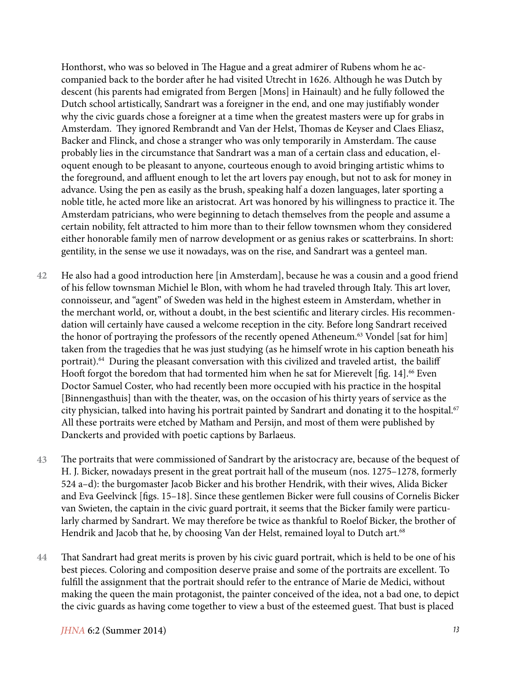Honthorst, who was so beloved in The Hague and a great admirer of Rubens whom he accompanied back to the border after he had visited Utrecht in 1626. Although he was Dutch by descent (his parents had emigrated from Bergen [Mons] in Hainault) and he fully followed the Dutch school artistically, Sandrart was a foreigner in the end, and one may justifiably wonder why the civic guards chose a foreigner at a time when the greatest masters were up for grabs in Amsterdam. They ignored Rembrandt and Van der Helst, Thomas de Keyser and Claes Eliasz, Backer and Flinck, and chose a stranger who was only temporarily in Amsterdam. The cause probably lies in the circumstance that Sandrart was a man of a certain class and education, eloquent enough to be pleasant to anyone, courteous enough to avoid bringing artistic whims to the foreground, and affluent enough to let the art lovers pay enough, but not to ask for money in advance. Using the pen as easily as the brush, speaking half a dozen languages, later sporting a noble title, he acted more like an aristocrat. Art was honored by his willingness to practice it. The Amsterdam patricians, who were beginning to detach themselves from the people and assume a certain nobility, felt attracted to him more than to their fellow townsmen whom they considered either honorable family men of narrow development or as genius rakes or scatterbrains. In short: gentility, in the sense we use it nowadays, was on the rise, and Sandrart was a genteel man.

- He also had a good introduction here [in Amsterdam], because he was a cousin and a good friend of his fellow townsman Michiel le Blon, with whom he had traveled through Italy. This art lover, connoisseur, and "agent" of Sweden was held in the highest esteem in Amsterdam, whether in the merchant world, or, without a doubt, in the best scientific and literary circles. His recommendation will certainly have caused a welcome reception in the city. Before long Sandrart received the honor of portraying the professors of the recently opened Atheneum.<sup>63</sup> Vondel [sat for him] taken from the tragedies that he was just studying (as he himself wrote in his caption beneath his portrait).<sup>64</sup> During the pleasant conversation with this civilized and traveled artist, the bailiff Hooft forgot the boredom that had tormented him when he sat for Mierevelt [fig. 14].<sup>66</sup> Even Doctor Samuel Coster, who had recently been more occupied with his practice in the hospital [Binnengasthuis] than with the theater, was, on the occasion of his thirty years of service as the city physician, talked into having his portrait painted by Sandrart and donating it to the hospital.<sup>67</sup> All these portraits were etched by Matham and Persijn, and most of them were published by Danckerts and provided with poetic captions by Barlaeus. **42**
- The portraits that were commissioned of Sandrart by the aristocracy are, because of the bequest of H. J. Bicker, nowadays present in the great portrait hall of the museum (nos. 1275–1278, formerly 524 a–d): the burgomaster Jacob Bicker and his brother Hendrik, with their wives, Alida Bicker and Eva Geelvinck [figs. 15–18]. Since these gentlemen Bicker were full cousins of Cornelis Bicker van Swieten, the captain in the civic guard portrait, it seems that the Bicker family were particularly charmed by Sandrart. We may therefore be twice as thankful to Roelof Bicker, the brother of Hendrik and Jacob that he, by choosing Van der Helst, remained loyal to Dutch art.<sup>68</sup> **43**
- That Sandrart had great merits is proven by his civic guard portrait, which is held to be one of his best pieces. Coloring and composition deserve praise and some of the portraits are excellent. To fulfill the assignment that the portrait should refer to the entrance of Marie de Medici, without making the queen the main protagonist, the painter conceived of the idea, not a bad one, to depict the civic guards as having come together to view a bust of the esteemed guest. That bust is placed **44**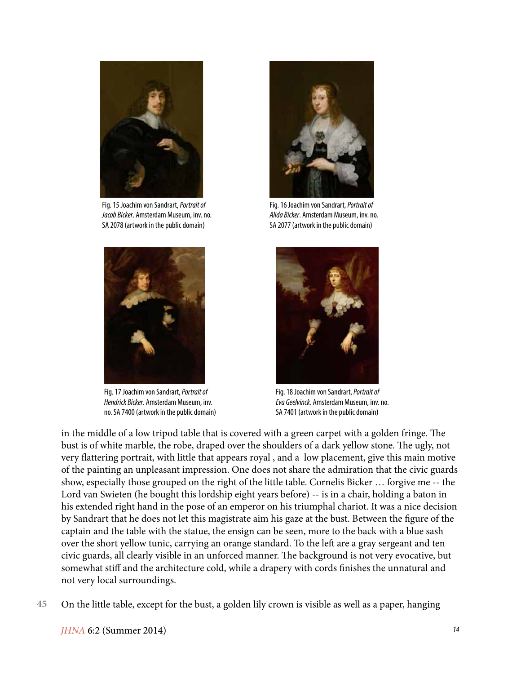

Fig. 15 Joachim von Sandrart, *Portrait of Jacob Bicker*. Amsterdam Museum, inv. no. SA 2078 (artwork in the public domain)



Fig. 17 Joachim von Sandrart, *Portrait of Hendrick Bicker*. Amsterdam Museum, inv. no. SA 7400 (artwork in the public domain)



Fig. 16 Joachim von Sandrart, *Portrait of Alida Bicker*. Amsterdam Museum, inv. no. SA 2077 (artwork in the public domain)



Fig. 18 Joachim von Sandrart, *Portrait of Eva Geelvinck*. Amsterdam Museum, inv. no. SA 7401 (artwork in the public domain)

in the middle of a low tripod table that is covered with a green carpet with a golden fringe. The bust is of white marble, the robe, draped over the shoulders of a dark yellow stone. The ugly, not very flattering portrait, with little that appears royal , and a low placement, give this main motive of the painting an unpleasant impression. One does not share the admiration that the civic guards show, especially those grouped on the right of the little table. Cornelis Bicker … forgive me -- the Lord van Swieten (he bought this lordship eight years before) -- is in a chair, holding a baton in his extended right hand in the pose of an emperor on his triumphal chariot. It was a nice decision by Sandrart that he does not let this magistrate aim his gaze at the bust. Between the figure of the captain and the table with the statue, the ensign can be seen, more to the back with a blue sash over the short yellow tunic, carrying an orange standard. To the left are a gray sergeant and ten civic guards, all clearly visible in an unforced manner. The background is not very evocative, but somewhat stiff and the architecture cold, while a drapery with cords finishes the unnatural and not very local surroundings.

On the little table, except for the bust, a golden lily crown is visible as well as a paper, hanging **45**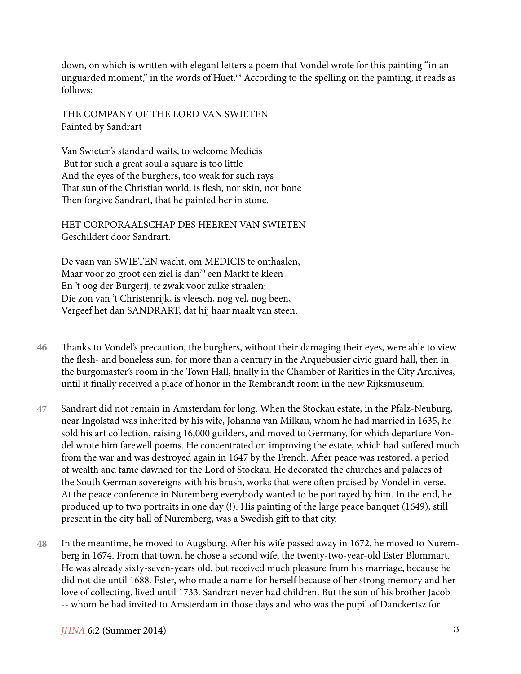down, on which is written with elegant letters a poem that Vondel wrote for this painting "in an unguarded moment," in the words of Huet.<sup>69</sup> According to the spelling on the painting, it reads as follows:

THE COMPANY OF THE LORD VAN SWIETEN Painted by Sandrart

Van Swieten's standard waits, to welcome Medicis But for such a great soul a square is too little And the eyes of the burghers, too weak for such rays That sun of the Christian world, is flesh, nor skin, nor bone Then forgive Sandrart, that he painted her in stone.

HET CORPORAALSCHAP DES HEEREN VAN SWIETEN Geschildert door Sandrart.

De vaan van SWIETEN wacht, om MEDICIS te onthaalen, Maar voor zo groot een ziel is dan<sup>70</sup> een Markt te kleen En 't oog der Burgerij, te zwak voor zulke straalen; Die zon van 't Christenrijk, is vleesch, nog vel, nog been, Vergeef het dan SANDRART, dat hij haar maalt van steen.

- Thanks to Vondel's precaution, the burghers, without their damaging their eyes, were able to view the flesh- and boneless sun, for more than a century in the Arquebusier civic guard hall, then in the burgomaster's room in the Town Hall, finally in the Chamber of Rarities in the City Archives, until it finally received a place of honor in the Rembrandt room in the new Rijksmuseum. **46**
- Sandrart did not remain in Amsterdam for long. When the Stockau estate, in the Pfalz-Neuburg, near Ingolstad was inherited by his wife, Johanna van Milkau, whom he had married in 1635, he sold his art collection, raising 16,000 guilders, and moved to Germany, for which departure Vondel wrote him farewell poems. He concentrated on improving the estate, which had suffered much from the war and was destroyed again in 1647 by the French. After peace was restored, a period of wealth and fame dawned for the Lord of Stockau. He decorated the churches and palaces of the South German sovereigns with his brush, works that were often praised by Vondel in verse. At the peace conference in Nuremberg everybody wanted to be portrayed by him. In the end, he produced up to two portraits in one day (!). His painting of the large peace banquet (1649), still present in the city hall of Nuremberg, was a Swedish gift to that city. **47**
- In the meantime, he moved to Augsburg. After his wife passed away in 1672, he moved to Nuremberg in 1674. From that town, he chose a second wife, the twenty-two-year-old Ester Blommart. He was already sixty-seven-years old, but received much pleasure from his marriage, because he did not die until 1688. Ester, who made a name for herself because of her strong memory and her love of collecting, lived until 1733. Sandrart never had children. But the son of his brother Jacob -- whom he had invited to Amsterdam in those days and who was the pupil of Danckertsz for **48**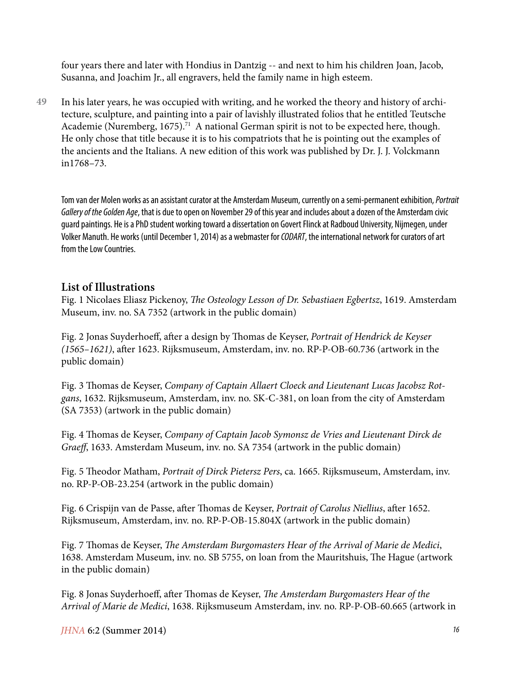four years there and later with Hondius in Dantzig -- and next to him his children Joan, Jacob, Susanna, and Joachim Jr., all engravers, held the family name in high esteem.

In his later years, he was occupied with writing, and he worked the theory and history of architecture, sculpture, and painting into a pair of lavishly illustrated folios that he entitled Teutsche Academie (Nuremberg, 1675).<sup>71</sup> A national German spirit is not to be expected here, though. He only chose that title because it is to his compatriots that he is pointing out the examples of the ancients and the Italians. A new edition of this work was published by Dr. J. J. Volckmann in1768–73. **49**

Tom van der Molen works as an assistant curator at the Amsterdam Museum, currently on a semi-permanent exhibition, *Portrait Gallery of the Golden Age*, that is due to open on November 29 of this year and includes about a dozen of the Amsterdam civic guard paintings. He is a PhD student working toward a dissertation on Govert Flinck at Radboud University, Nijmegen, under Volker Manuth. He works (until December 1, 2014) as a webmaster for *CODART*, the international network for curators of art from the Low Countries.

## **List of Illustrations**

Fig. 1 Nicolaes Eliasz Pickenoy, *The Osteology Lesson of Dr. Sebastiaen Egbertsz*, 1619. Amsterdam Museum, inv. no. SA 7352 (artwork in the public domain)

Fig. 2 Jonas Suyderhoeff, after a design by Thomas de Keyser, *Portrait of Hendrick de Keyser (1565–1621)*, after 1623. Rijksmuseum, Amsterdam, inv. no. RP-P-OB-60.736 (artwork in the public domain)

Fig. 3 Thomas de Keyser, *Company of Captain Allaert Cloeck and Lieutenant Lucas Jacobsz Rotgans*, 1632. Rijksmuseum, Amsterdam, inv. no. SK-C-381, on loan from the city of Amsterdam (SA 7353) (artwork in the public domain)

Fig. 4 Thomas de Keyser, *Company of Captain Jacob Symonsz de Vries and Lieutenant Dirck de Graeff*, 1633. Amsterdam Museum, inv. no. SA 7354 (artwork in the public domain)

Fig. 5 Theodor Matham, *Portrait of Dirck Pietersz Pers*, ca. 1665. Rijksmuseum, Amsterdam, inv. no. RP-P-OB-23.254 (artwork in the public domain)

Fig. 6 Crispijn van de Passe, after Thomas de Keyser, *Portrait of Carolus Niellius*, after 1652. Rijksmuseum, Amsterdam, inv. no. RP-P-OB-15.804X (artwork in the public domain)

Fig. 7 Thomas de Keyser, *The Amsterdam Burgomasters Hear of the Arrival of Marie de Medici*, 1638. Amsterdam Museum, inv. no. SB 5755, on loan from the Mauritshuis, The Hague (artwork in the public domain)

Fig. 8 Jonas Suyderhoeff, after Thomas de Keyser, *The Amsterdam Burgomasters Hear of the Arrival of Marie de Medici*, 1638. Rijksmuseum Amsterdam, inv. no. RP-P-OB-60.665 (artwork in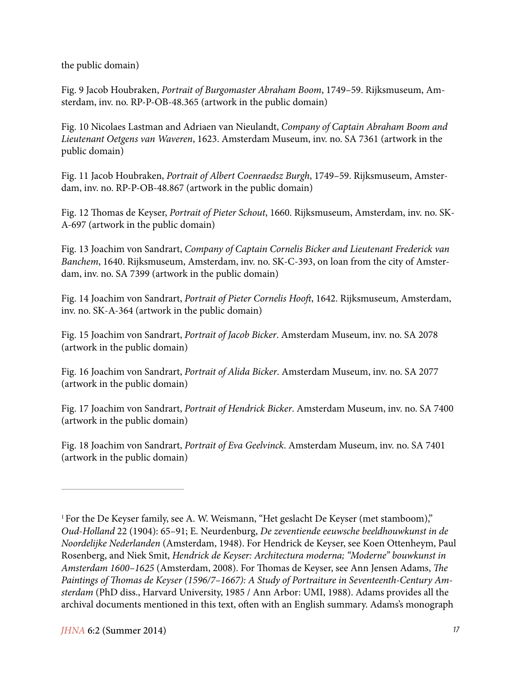the public domain)

Fig. 9 Jacob Houbraken, *Portrait of Burgomaster Abraham Boom*, 1749–59. Rijksmuseum, Amsterdam, inv. no. RP-P-OB-48.365 (artwork in the public domain)

Fig. 10 Nicolaes Lastman and Adriaen van Nieulandt, *Company of Captain Abraham Boom and Lieutenant Oetgens van Waveren*, 1623. Amsterdam Museum, inv. no. SA 7361 (artwork in the public domain)

Fig. 11 Jacob Houbraken, *Portrait of Albert Coenraedsz Burgh*, 1749–59. Rijksmuseum, Amsterdam, inv. no. RP-P-OB-48.867 (artwork in the public domain)

Fig. 12 Thomas de Keyser, *Portrait of Pieter Schout*, 1660. Rijksmuseum, Amsterdam, inv. no. SK-A-697 (artwork in the public domain)

Fig. 13 Joachim von Sandrart, *Company of Captain Cornelis Bicker and Lieutenant Frederick van Banchem*, 1640. Rijksmuseum, Amsterdam, inv. no. SK-C-393, on loan from the city of Amsterdam, inv. no. SA 7399 (artwork in the public domain)

Fig. 14 Joachim von Sandrart, *Portrait of Pieter Cornelis Hooft*, 1642. Rijksmuseum, Amsterdam, inv. no. SK-A-364 (artwork in the public domain)

Fig. 15 Joachim von Sandrart, *Portrait of Jacob Bicker*. Amsterdam Museum, inv. no. SA 2078 (artwork in the public domain)

Fig. 16 Joachim von Sandrart, *Portrait of Alida Bicker*. Amsterdam Museum, inv. no. SA 2077 (artwork in the public domain)

Fig. 17 Joachim von Sandrart, *Portrait of Hendrick Bicker*. Amsterdam Museum, inv. no. SA 7400 (artwork in the public domain)

Fig. 18 Joachim von Sandrart, *Portrait of Eva Geelvinck*. Amsterdam Museum, inv. no. SA 7401 (artwork in the public domain)

<sup>&</sup>lt;sup>1</sup> For the De Keyser family, see A. W. Weismann, "Het geslacht De Keyser (met stamboom)," *Oud-Holland* 22 (1904): 65–91; E. Neurdenburg, *De zeventiende eeuwsche beeldhouwkunst in de Noordelijke Nederlanden* (Amsterdam, 1948). For Hendrick de Keyser, see Koen Ottenheym, Paul Rosenberg, and Niek Smit, *Hendrick de Keyser: Architectura moderna; "Moderne" bouwkunst in Amsterdam 1600–1625* (Amsterdam, 2008). For Thomas de Keyser, see Ann Jensen Adams, *The Paintings of Thomas de Keyser (1596/7–1667): A Study of Portraiture in Seventeenth-Century Amsterdam* (PhD diss., Harvard University, 1985 / Ann Arbor: UMI, 1988). Adams provides all the archival documents mentioned in this text, often with an English summary. Adams's monograph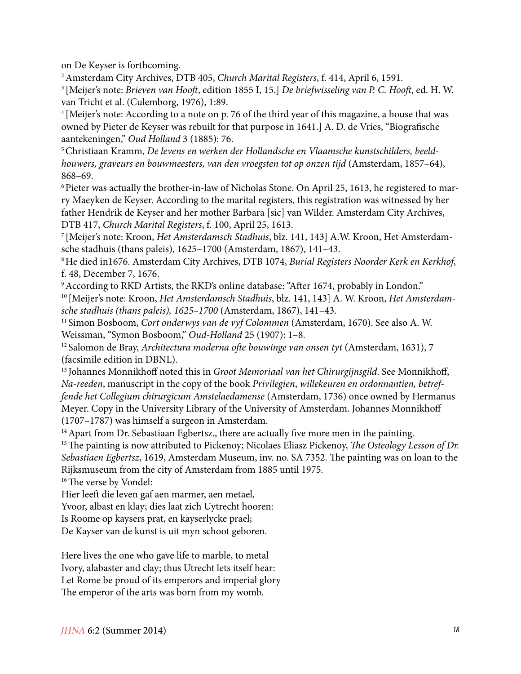on De Keyser is forthcoming.

2 Amsterdam City Archives, DTB 405, *Church Marital Registers*, f. 414, April 6, 1591.

3 [Meijer's note: *Brieven van Hooft*, edition 1855 I, 15.] *De briefwisseling van P. C. Hooft*, ed. H. W. van Tricht et al. (Culemborg, 1976), 1:89.

4 [Meijer's note: According to a note on p. 76 of the third year of this magazine, a house that was owned by Pieter de Keyser was rebuilt for that purpose in 1641.] A. D. de Vries, "Biografische aantekeningen," *Oud Holland* 3 (1885): 76.

5 Christiaan Kramm, *De levens en werken der Hollandsche en Vlaamsche kunstschilders, beeldhouwers, graveurs en bouwmeesters, van den vroegsten tot op onzen tijd* (Amsterdam, 1857–64), 868–69.

<sup>6</sup> Pieter was actually the brother-in-law of Nicholas Stone. On April 25, 1613, he registered to marry Maeyken de Keyser. According to the marital registers, this registration was witnessed by her father Hendrik de Keyser and her mother Barbara [sic] van Wilder. Amsterdam City Archives, DTB 417, *Church Marital Registers*, f. 100, April 25, 1613.<br><sup>7</sup> [Meijer's note: Kroon, *Het Amsterdamsch Stadhuis*, blz. 141, 143] A.W. Kroon, Het Amsterdam-

sche stadhuis (thans paleis), 1625–1700 (Amsterdam, 1867), 141–43.

8 He died in1676. Amsterdam City Archives, DTB 1074, *Burial Registers Noorder Kerk en Kerkhof*, f. 48, December 7, 1676.

<sup>9</sup> According to RKD Artists, the RKD's online database: "After 1674, probably in London."

10 [Meijer's note: Kroon, *Het Amsterdamsch Stadhuis*, blz. 141, 143] A. W. Kroon, *Het Amsterdamsche stadhuis (thans paleis), 1625–1700* (Amsterdam, 1867), 141–43.

11 Simon Bosboom, *Cort onderwys van de vyf Colommen* (Amsterdam, 1670). See also A. W. Weissman, "Symon Bosboom," *Oud-Holland* 25 (1907): 1–8.

12 Salomon de Bray, *Architectura moderna ofte bouwinge van onsen tyt* (Amsterdam, 1631), 7 (facsimile edition in DBNL).

13 Johannes Monnikhoff noted this in *Groot Memoriaal van het Chirurgijnsgild*. See Monnikhoff, *Na-reeden*, manuscript in the copy of the book *Privilegien*, *willekeuren en ordonnantien, betreffende het Collegium chirurgicum Amstelaedamense* (Amsterdam, 1736) once owned by Hermanus Meyer. Copy in the University Library of the University of Amsterdam. Johannes Monnikhoff (1707–1787) was himself a surgeon in Amsterdam.

<sup>14</sup> Apart from Dr. Sebastiaan Egbertsz., there are actually five more men in the painting.

15 The painting is now attributed to Pickenoy; Nicolaes Eliasz Pickenoy, *The Osteology Lesson of Dr. Sebastiaen Egbertsz*, 1619, Amsterdam Museum, inv. no. SA 7352. The painting was on loan to the Rijksmuseum from the city of Amsterdam from 1885 until 1975.

<sup>16</sup> The verse by Vondel:

Hier leeft die leven gaf aen marmer, aen metael,

Yvoor, albast en klay; dies laat zich Uytrecht hooren:

Is Roome op kaysers prat, en kayserlycke prael;

De Kayser van de kunst is uit myn schoot geboren.

Here lives the one who gave life to marble, to metal Ivory, alabaster and clay; thus Utrecht lets itself hear: Let Rome be proud of its emperors and imperial glory The emperor of the arts was born from my womb.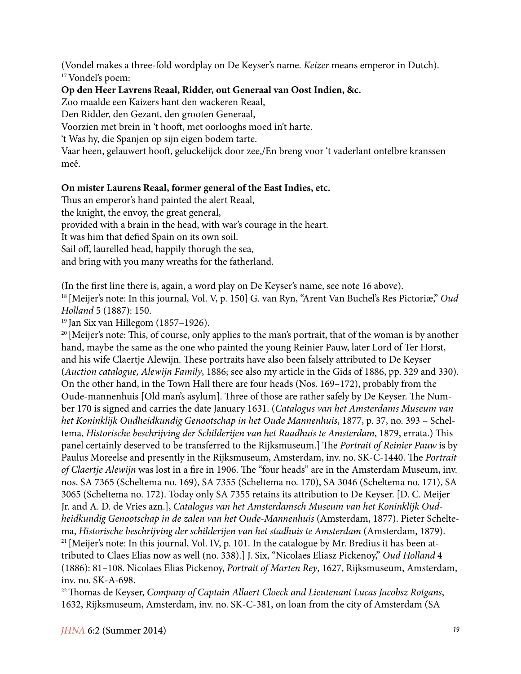(Vondel makes a three-fold wordplay on De Keyser's name. *Keizer* means emperor in Dutch). 17 Vondel's poem:

#### **Op den Heer Lavrens Reaal, Ridder, out Generaal van Oost Indien, &c.**

Zoo maalde een Kaizers hant den wackeren Reaal,

Den Ridder, den Gezant, den grooten Generaal,

Voorzien met brein in 't hooft, met oorlooghs moed in't harte.

't Was hy, die Spanjen op sijn eigen bodem tarte.

Vaar heen, gelauwert hooft, geluckelijck door zee,/En breng voor 't vaderlant ontelbre kranssen meê.

#### **On mister Laurens Reaal, former general of the East Indies, etc.**

Thus an emperor's hand painted the alert Reaal,

the knight, the envoy, the great general,

provided with a brain in the head, with war's courage in the heart.

It was him that defied Spain on its own soil.

Sail off, laurelled head, happily thorugh the sea,

and bring with you many wreaths for the fatherland.

(In the first line there is, again, a word play on De Keyser's name, see note 16 above).

18 [Meijer's note: In this journal, Vol. V, p. 150] G. van Ryn, "Arent Van Buchel's Res Pictoriæ," *Oud Holland* 5 (1887): 150.

19 Jan Six van Hillegom (1857–1926).

<sup>20</sup> [Meijer's note: This, of course, only applies to the man's portrait, that of the woman is by another hand, maybe the same as the one who painted the young Reinier Pauw, later Lord of Ter Horst, and his wife Claertje Alewijn. These portraits have also been falsely attributed to De Keyser (*Auction catalogue, Alewijn Family*, 1886; see also my article in the Gids of 1886, pp. 329 and 330). On the other hand, in the Town Hall there are four heads (Nos. 169–172), probably from the Oude-mannenhuis [Old man's asylum]. Three of those are rather safely by De Keyser. The Number 170 is signed and carries the date January 1631. (*Catalogus van het Amsterdams Museum van het Koninklijk Oudheidkundig Genootschap in het Oude Mannenhuis*, 1877, p. 37, no. 393 – Scheltema, *Historische beschrijving der Schilderijen van het Raadhuis te Amsterdam*, 1879, errata.) This panel certainly deserved to be transferred to the Rijksmuseum.] The *Portrait of Reinier Pauw* is by Paulus Moreelse and presently in the Rijksmuseum, Amsterdam, inv. no. SK-C-1440. The *Portrait of Claertje Alewijn* was lost in a fire in 1906. The "four heads" are in the Amsterdam Museum, inv. nos. SA 7365 (Scheltema no. 169), SA 7355 (Scheltema no. 170), SA 3046 (Scheltema no. 171), SA 3065 (Scheltema no. 172). Today only SA 7355 retains its attribution to De Keyser. [D. C. Meijer Jr. and A. D. de Vries azn.], *Catalogus van het Amsterdamsch Museum van het Koninklijk Oudheidkundig Genootschap in de zalen van het Oude-Mannenhuis* (Amsterdam, 1877). Pieter Scheltema, *Historische beschrijving der schilderijen van het stadhuis te Amsterdam* (Amsterdam, 1879).  $21$  [Meijer's note: In this journal, Vol. IV, p. 101. In the catalogue by Mr. Bredius it has been attributed to Claes Elias now as well (no. 338).] J. Six, "Nicolaes Eliasz Pickenoy," *Oud Holland* 4 (1886): 81–108. Nicolaes Elias Pickenoy, *Portrait of Marten Rey*, 1627, Rijksmuseum, Amsterdam, inv. no. SK-A-698.

22 Thomas de Keyser, *Company of Captain Allaert Cloeck and Lieutenant Lucas Jacobsz Rotgans*, 1632, Rijksmuseum, Amsterdam, inv. no. SK-C-381, on loan from the city of Amsterdam (SA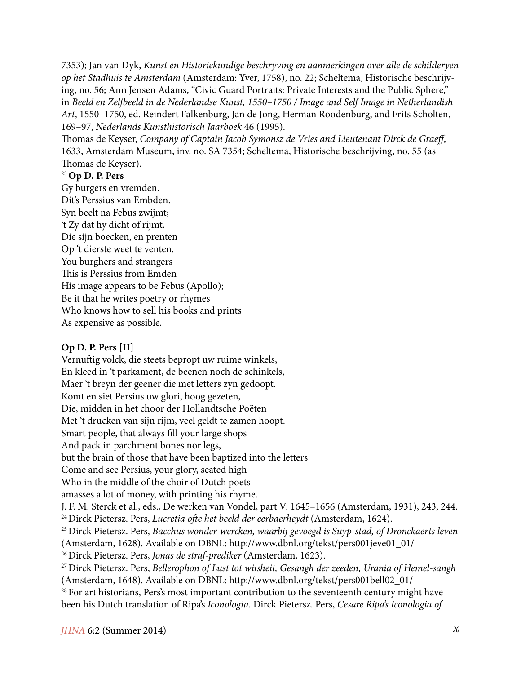7353); Jan van Dyk, *Kunst en Historiekundige beschryving en aanmerkingen over alle de schilderyen op het Stadhuis te Amsterdam* (Amsterdam: Yver, 1758), no. 22; Scheltema, Historische beschrijving, no. 56; Ann Jensen Adams, "Civic Guard Portraits: Private Interests and the Public Sphere," in *Beeld en Zelfbeeld in de Nederlandse Kunst, 1550–1750 / Image and Self Image in Netherlandish Art*, 1550–1750, ed. Reindert Falkenburg, Jan de Jong, Herman Roodenburg, and Frits Scholten, 169–97, *Nederlands Kunsthistorisch Jaarboek* 46 (1995).

Thomas de Keyser, *Company of Captain Jacob Symonsz de Vries and Lieutenant Dirck de Graeff*, 1633, Amsterdam Museum, inv. no. SA 7354; Scheltema, Historische beschrijving, no. 55 (as Thomas de Keyser).

#### <sup>23</sup>**Op D. P. Pers**

Gy burgers en vremden. Dit's Perssius van Embden. Syn beelt na Febus zwijmt; 't Zy dat hy dicht of rijmt. Die sijn boecken, en prenten Op 't dierste weet te venten. You burghers and strangers This is Perssius from Emden His image appears to be Febus (Apollo); Be it that he writes poetry or rhymes Who knows how to sell his books and prints As expensive as possible.

## **Op D. P. Pers [II]**

Vernuftig volck, die steets bepropt uw ruime winkels, En kleed in 't parkament, de beenen noch de schinkels, Maer 't breyn der geener die met letters zyn gedoopt. Komt en siet Persius uw glori, hoog gezeten, Die, midden in het choor der Hollandtsche Poëten Met 't drucken van sijn rijm, veel geldt te zamen hoopt. Smart people, that always fill your large shops And pack in parchment bones nor legs, but the brain of those that have been baptized into the letters Come and see Persius, your glory, seated high Who in the middle of the choir of Dutch poets amasses a lot of money, with printing his rhyme. J. F. M. Sterck et al., eds., De werken van Vondel, part V: 1645–1656 (Amsterdam, 1931), 243, 244. 24 Dirck Pietersz. Pers, *Lucretia ofte het beeld der eerbaerheydt* (Amsterdam, 1624). 25 Dirck Pietersz. Pers, *Bacchus wonder-wercken, waarbij gevoegd is Suyp-stad, of Dronckaerts leven* (Amsterdam, 1628). Available on DBNL: http://www.dbnl.org/tekst/pers001jeve01\_01/ 26 Dirck Pietersz. Pers, *Jonas de straf-prediker* (Amsterdam, 1623). 27 Dirck Pietersz. Pers, *Bellerophon of Lust tot wiisheit, Gesangh der zeeden, Urania of Hemel-sangh* (Amsterdam, 1648). Available on DBNL: http://www.dbnl.org/tekst/pers001bell02\_01/ <sup>28</sup> For art historians, Pers's most important contribution to the seventeenth century might have been his Dutch translation of Ripa's *Iconologia*. Dirck Pietersz. Pers, *Cesare Ripa's Iconologia of*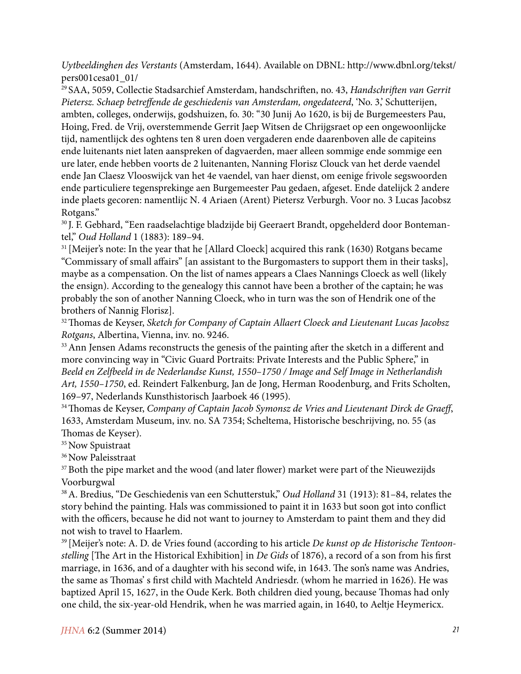*Uytbeeldinghen des Verstants* (Amsterdam, 1644). Available on DBNL: http://www.dbnl.org/tekst/ pers001cesa01\_01/

29 SAA, 5059, Collectie Stadsarchief Amsterdam, handschriften, no. 43, *Handschriften van Gerrit Pietersz. Schaep betreffende de geschiedenis van Amsterdam, ongedateerd*, 'No. 3,' Schutterijen, ambten, colleges, onderwijs, godshuizen, fo. 30: "30 Junij Ao 1620, is bij de Burgemeesters Pau, Hoing, Fred. de Vrij, overstemmende Gerrit Jaep Witsen de Chrijgsraet op een ongewoonlijcke tijd, namentlijck des oghtens ten 8 uren doen vergaderen ende daarenboven alle de capiteins ende luitenants niet laten aanspreken of dagvaerden, maer alleen sommige ende sommige een ure later, ende hebben voorts de 2 luitenanten, Nanning Florisz Clouck van het derde vaendel ende Jan Claesz Vlooswijck van het 4e vaendel, van haer dienst, om eenige frivole segswoorden ende particuliere tegensprekinge aen Burgemeester Pau gedaen, afgeset. Ende datelijck 2 andere inde plaets gecoren: namentlijc N. 4 Ariaen (Arent) Pietersz Verburgh. Voor no. 3 Lucas Jacobsz Rotgans."

30 J. F. Gebhard, "Een raadselachtige bladzijde bij Geeraert Brandt, opgehelderd door Bontemantel," *Oud Holland* 1 (1883): 189–94.

<sup>31</sup> [Meijer's note: In the year that he [Allard Cloeck] acquired this rank (1630) Rotgans became "Commissary of small affairs" [an assistant to the Burgomasters to support them in their tasks], maybe as a compensation. On the list of names appears a Claes Nannings Cloeck as well (likely the ensign). According to the genealogy this cannot have been a brother of the captain; he was probably the son of another Nanning Cloeck, who in turn was the son of Hendrik one of the brothers of Nannig Florisz].

32 Thomas de Keyser, *Sketch for Company of Captain Allaert Cloeck and Lieutenant Lucas Jacobsz Rotgans*, Albertina, Vienna, inv. no. 9246.

<sup>33</sup> Ann Jensen Adams reconstructs the genesis of the painting after the sketch in a different and more convincing way in "Civic Guard Portraits: Private Interests and the Public Sphere," in *Beeld en Zelfbeeld in de Nederlandse Kunst, 1550–1750 / Image and Self Image in Netherlandish Art, 1550–1750*, ed. Reindert Falkenburg, Jan de Jong, Herman Roodenburg, and Frits Scholten, 169–97, Nederlands Kunsthistorisch Jaarboek 46 (1995).

34 Thomas de Keyser, *Company of Captain Jacob Symonsz de Vries and Lieutenant Dirck de Graeff*, 1633, Amsterdam Museum, inv. no. SA 7354; Scheltema, Historische beschrijving, no. 55 (as Thomas de Keyser).

<sup>35</sup> Now Spuistraat

<sup>36</sup> Now Paleisstraat

<sup>37</sup> Both the pipe market and the wood (and later flower) market were part of the Nieuwezijds Voorburgwal

38 A. Bredius, "De Geschiedenis van een Schutterstuk," *Oud Holland* 31 (1913): 81–84, relates the story behind the painting. Hals was commissioned to paint it in 1633 but soon got into conflict with the officers, because he did not want to journey to Amsterdam to paint them and they did not wish to travel to Haarlem.

39 [Meijer's note: A. D. de Vries found (according to his article *De kunst op de Historische Tentoonstelling* [The Art in the Historical Exhibition] in *De Gids* of 1876), a record of a son from his first marriage, in 1636, and of a daughter with his second wife, in 1643. The son's name was Andries, the same as Thomas' s first child with Machteld Andriesdr. (whom he married in 1626). He was baptized April 15, 1627, in the Oude Kerk. Both children died young, because Thomas had only one child, the six-year-old Hendrik, when he was married again, in 1640, to Aeltje Heymericx.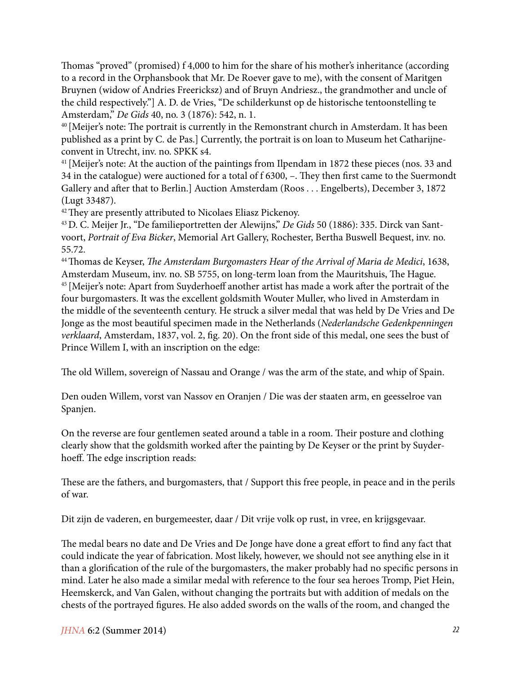Thomas "proved" (promised) f 4,000 to him for the share of his mother's inheritance (according to a record in the Orphansbook that Mr. De Roever gave to me), with the consent of Maritgen Bruynen (widow of Andries Freericksz) and of Bruyn Andriesz., the grandmother and uncle of the child respectively."] A. D. de Vries, "De schilderkunst op de historische tentoonstelling te Amsterdam," *De Gids* 40, no. 3 (1876): 542, n. 1.

40 [Meijer's note: The portrait is currently in the Remonstrant church in Amsterdam. It has been published as a print by C. de Pas.] Currently, the portrait is on loan to Museum het Catharijneconvent in Utrecht, inv. no. SPKK s4.

<sup>41</sup> [Meijer's note: At the auction of the paintings from Ilpendam in 1872 these pieces (nos. 33 and 34 in the catalogue) were auctioned for a total of f 6300, –. They then first came to the Suermondt Gallery and after that to Berlin.] Auction Amsterdam (Roos . . . Engelberts), December 3, 1872 (Lugt 33487).

<sup>42</sup> They are presently attributed to Nicolaes Eliasz Pickenoy.

43 D. C. Meijer Jr., "De familieportretten der Alewijns," *De Gids* 50 (1886): 335. Dirck van Santvoort, *Portrait of Eva Bicker*, Memorial Art Gallery, Rochester, Bertha Buswell Bequest, inv. no. 55.72.

44 Thomas de Keyser, *The Amsterdam Burgomasters Hear of the Arrival of Maria de Medici*, 1638, Amsterdam Museum, inv. no. SB 5755, on long-term loan from the Mauritshuis, The Hague.

45 [Meijer's note: Apart from Suyderhoeff another artist has made a work after the portrait of the four burgomasters. It was the excellent goldsmith Wouter Muller, who lived in Amsterdam in the middle of the seventeenth century. He struck a silver medal that was held by De Vries and De Jonge as the most beautiful specimen made in the Netherlands (*Nederlandsche Gedenkpenningen verklaard*, Amsterdam, 1837, vol. 2, fig. 20). On the front side of this medal, one sees the bust of Prince Willem I, with an inscription on the edge:

The old Willem, sovereign of Nassau and Orange / was the arm of the state, and whip of Spain.

Den ouden Willem, vorst van Nassov en Oranjen / Die was der staaten arm, en geesselroe van Spanjen.

On the reverse are four gentlemen seated around a table in a room. Their posture and clothing clearly show that the goldsmith worked after the painting by De Keyser or the print by Suyderhoeff. The edge inscription reads:

These are the fathers, and burgomasters, that / Support this free people, in peace and in the perils of war.

Dit zijn de vaderen, en burgemeester, daar / Dit vrije volk op rust, in vree, en krijgsgevaar.

The medal bears no date and De Vries and De Jonge have done a great effort to find any fact that could indicate the year of fabrication. Most likely, however, we should not see anything else in it than a glorification of the rule of the burgomasters, the maker probably had no specific persons in mind. Later he also made a similar medal with reference to the four sea heroes Tromp, Piet Hein, Heemskerck, and Van Galen, without changing the portraits but with addition of medals on the chests of the portrayed figures. He also added swords on the walls of the room, and changed the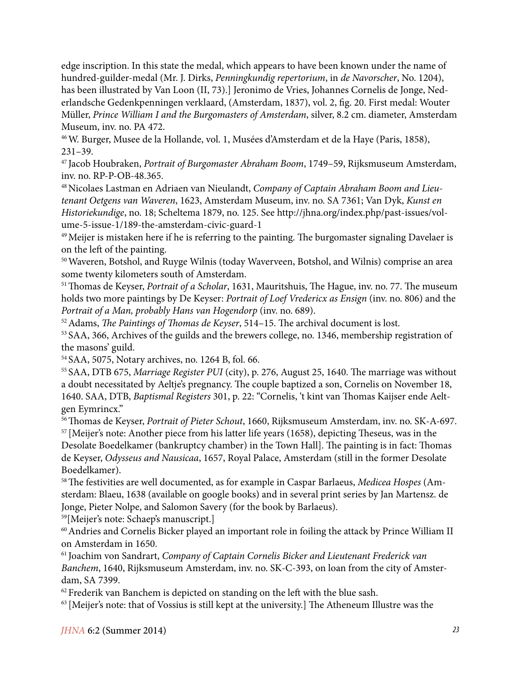edge inscription. In this state the medal, which appears to have been known under the name of hundred-guilder-medal (Mr. J. Dirks, *Penningkundig repertorium*, in *de Navorscher*, No. 1204), has been illustrated by Van Loon (II, 73).] Jeronimo de Vries, Johannes Cornelis de Jonge, Nederlandsche Gedenkpenningen verklaard, (Amsterdam, 1837), vol. 2, fig. 20. First medal: Wouter Müller, *Prince William I and the Burgomasters of Amsterdam*, silver, 8.2 cm. diameter, Amsterdam Museum, inv. no. PA 472.

46 W. Burger, Musee de la Hollande, vol. 1, Musées d'Amsterdam et de la Haye (Paris, 1858), 231–39.

47 Jacob Houbraken, *Portrait of Burgomaster Abraham Boom*, 1749–59, Rijksmuseum Amsterdam, inv. no. RP-P-OB-48.365.

48 Nicolaes Lastman en Adriaen van Nieulandt, *Company of Captain Abraham Boom and Lieutenant Oetgens van Waveren*, 1623, Amsterdam Museum, inv. no. SA 7361; Van Dyk, *Kunst en Historiekundige*, no. 18; Scheltema 1879, no. 125. See http://jhna.org/index.php/past-issues/volume-5-issue-1/189-the-amsterdam-civic-guard-1

<sup>49</sup> Meijer is mistaken here if he is referring to the painting. The burgomaster signaling Davelaer is on the left of the painting.

50 Waveren, Botshol, and Ruyge Wilnis (today Waverveen, Botshol, and Wilnis) comprise an area some twenty kilometers south of Amsterdam.

51 Thomas de Keyser, *Portrait of a Scholar*, 1631, Mauritshuis, The Hague, inv. no. 77. The museum holds two more paintings by De Keyser: *Portrait of Loef Vredericx as Ensign* (inv. no. 806) and the *Portrait of a Man, probably Hans van Hogendorp* (inv. no. 689).

52 Adams, *The Paintings of Thomas de Keyser*, 514–15. The archival document is lost.

53 SAA, 366, Archives of the guilds and the brewers college, no. 1346, membership registration of the masons' guild.

54 SAA, 5075, Notary archives, no. 1264 B, fol. 66.

55 SAA, DTB 675, *Marriage Register PUI* (city), p. 276, August 25, 1640. The marriage was without a doubt necessitated by Aeltje's pregnancy. The couple baptized a son, Cornelis on November 18, 1640. SAA, DTB, *Baptismal Registers* 301, p. 22: "Cornelis, 't kint van Thomas Kaijser ende Aeltgen Eymrincx."

56 Thomas de Keyser, *Portrait of Pieter Schout*, 1660, Rijksmuseum Amsterdam, inv. no. SK-A-697. <sup>57</sup> [Meijer's note: Another piece from his latter life years (1658), depicting Theseus, was in the Desolate Boedelkamer (bankruptcy chamber) in the Town Hall]. The painting is in fact: Thomas

de Keyser, *Odysseus and Nausicaa*, 1657, Royal Palace, Amsterdam (still in the former Desolate Boedelkamer).

58 The festivities are well documented, as for example in Caspar Barlaeus, *Medicea Hospes* (Amsterdam: Blaeu, 1638 (available on google books) and in several print series by Jan Martensz. de Jonge, Pieter Nolpe, and Salomon Savery (for the book by Barlaeus).

59[Meijer's note: Schaep's manuscript.]

60 Andries and Cornelis Bicker played an important role in foiling the attack by Prince William II on Amsterdam in 1650.

61 Joachim von Sandrart, *Company of Captain Cornelis Bicker and Lieutenant Frederick van Banchem*, 1640, Rijksmuseum Amsterdam, inv. no. SK-C-393, on loan from the city of Amsterdam, SA 7399.

 $62$  Frederik van Banchem is depicted on standing on the left with the blue sash.

 $63$  [Meijer's note: that of Vossius is still kept at the university.] The Atheneum Illustre was the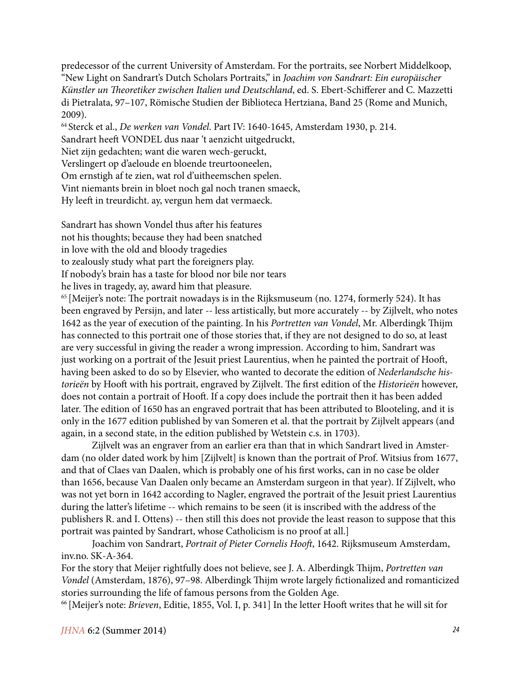predecessor of the current University of Amsterdam. For the portraits, see Norbert Middelkoop, "New Light on Sandrart's Dutch Scholars Portraits," in *Joachim von Sandrart: Ein europäischer Künstler un Theoretiker zwischen Italien und Deutschland*, ed. S. Ebert-Schifferer and C. Mazzetti di Pietralata, 97–107, Römische Studien der Biblioteca Hertziana, Band 25 (Rome and Munich, 2009).

64 Sterck et al., *De werken van Vondel*. Part IV: 1640-1645, Amsterdam 1930, p. 214.

Sandrart heeft VONDEL dus naar 't aenzicht uitgedruckt,

Niet zijn gedachten; want die waren wech-geruckt,

Verslingert op d'aeloude en bloende treurtooneelen,

Om ernstigh af te zien, wat rol d'uitheemschen spelen.

Vint niemants brein in bloet noch gal noch tranen smaeck,

Hy leeft in treurdicht. ay, vergun hem dat vermaeck.

Sandrart has shown Vondel thus after his features not his thoughts; because they had been snatched in love with the old and bloody tragedies to zealously study what part the foreigners play. If nobody's brain has a taste for blood nor bile nor tears

he lives in tragedy, ay, award him that pleasure.

<sup>65</sup> [Meijer's note: The portrait nowadays is in the Rijksmuseum (no. 1274, formerly 524). It has been engraved by Persijn, and later -- less artistically, but more accurately -- by Zijlvelt, who notes 1642 as the year of execution of the painting. In his *Portretten van Vondel*, Mr. Alberdingk Thijm has connected to this portrait one of those stories that, if they are not designed to do so, at least are very successful in giving the reader a wrong impression. According to him, Sandrart was just working on a portrait of the Jesuit priest Laurentius, when he painted the portrait of Hooft, having been asked to do so by Elsevier, who wanted to decorate the edition of *Nederlandsche historieën* by Hooft with his portrait, engraved by Zijlvelt. The first edition of the *Historieën* however, does not contain a portrait of Hooft. If a copy does include the portrait then it has been added later. The edition of 1650 has an engraved portrait that has been attributed to Blooteling, and it is only in the 1677 edition published by van Someren et al. that the portrait by Zijlvelt appears (and again, in a second state, in the edition published by Wetstein c.s. in 1703).

Zijlvelt was an engraver from an earlier era than that in which Sandrart lived in Amsterdam (no older dated work by him [Zijlvelt] is known than the portrait of Prof. Witsius from 1677, and that of Claes van Daalen, which is probably one of his first works, can in no case be older than 1656, because Van Daalen only became an Amsterdam surgeon in that year). If Zijlvelt, who was not yet born in 1642 according to Nagler, engraved the portrait of the Jesuit priest Laurentius during the latter's lifetime -- which remains to be seen (it is inscribed with the address of the publishers R. and I. Ottens) -- then still this does not provide the least reason to suppose that this portrait was painted by Sandrart, whose Catholicism is no proof at all.]

Joachim von Sandrart, *Portrait of Pieter Cornelis Hooft*, 1642. Rijksmuseum Amsterdam, inv.no. SK-A-364.

For the story that Meijer rightfully does not believe, see J. A. Alberdingk Thijm, *Portretten van Vondel* (Amsterdam, 1876), 97–98. Alberdingk Thijm wrote largely fictionalized and romanticized stories surrounding the life of famous persons from the Golden Age.

66 [Meijer's note: *Brieven*, Editie, 1855, Vol. I, p. 341] In the letter Hooft writes that he will sit for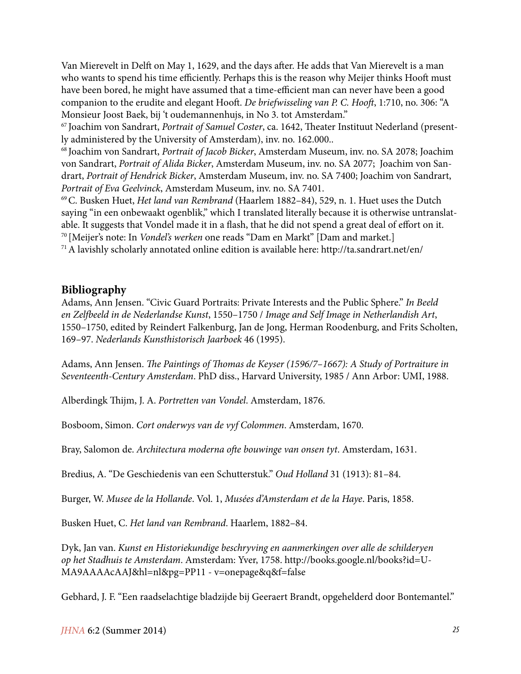Van Mierevelt in Delft on May 1, 1629, and the days after. He adds that Van Mierevelt is a man who wants to spend his time efficiently. Perhaps this is the reason why Meijer thinks Hooft must have been bored, he might have assumed that a time-efficient man can never have been a good companion to the erudite and elegant Hooft. *De briefwisseling van P. C. Hooft*, 1:710, no. 306: "A Monsieur Joost Baek, bij 't oudemannenhujs, in No 3. tot Amsterdam."

67 Joachim von Sandrart, *Portrait of Samuel Coster*, ca. 1642, Theater Instituut Nederland (presently administered by the University of Amsterdam), inv. no. 162.000..

68 Joachim von Sandrart, *Portrait of Jacob Bicker*, Amsterdam Museum, inv. no. SA 2078; Joachim von Sandrart, *Portrait of Alida Bicker*, Amsterdam Museum, inv. no. SA 2077; Joachim von Sandrart, *Portrait of Hendrick Bicker*, Amsterdam Museum, inv. no. SA 7400; Joachim von Sandrart, *Portrait of Eva Geelvinck*, Amsterdam Museum, inv. no. SA 7401.

69 C. Busken Huet, *Het land van Rembrand* (Haarlem 1882–84), 529, n. 1. Huet uses the Dutch saying "in een onbewaakt ogenblik," which I translated literally because it is otherwise untranslatable. It suggests that Vondel made it in a flash, that he did not spend a great deal of effort on it. 70 [Meijer's note: In *Vondel's werken* one reads "Dam en Markt" [Dam and market.]

71 A lavishly scholarly annotated online edition is available here: http://ta.sandrart.net/en/

#### **Bibliography**

Adams, Ann Jensen. "Civic Guard Portraits: Private Interests and the Public Sphere." *In Beeld en Zelfbeeld in de Nederlandse Kunst*, 1550–1750 / *Image and Self Image in Netherlandish Art*, 1550–1750, edited by Reindert Falkenburg, Jan de Jong, Herman Roodenburg, and Frits Scholten, 169–97. *Nederlands Kunsthistorisch Jaarboek* 46 (1995).

Adams, Ann Jensen. *The Paintings of Thomas de Keyser (1596/7–1667): A Study of Portraiture in Seventeenth-Century Amsterdam*. PhD diss., Harvard University, 1985 / Ann Arbor: UMI, 1988.

Alberdingk Thijm, J. A. *Portretten van Vondel*. Amsterdam, 1876.

Bosboom, Simon. *Cort onderwys van de vyf Colommen*. Amsterdam, 1670.

Bray, Salomon de. *Architectura moderna ofte bouwinge van onsen tyt*. Amsterdam, 1631.

Bredius, A. "De Geschiedenis van een Schutterstuk." *Oud Holland* 31 (1913): 81–84.

Burger, W. *Musee de la Hollande*. Vol. 1, *Musées d'Amsterdam et de la Haye*. Paris, 1858.

Busken Huet, C. *Het land van Rembrand*. Haarlem, 1882–84.

Dyk, Jan van. *Kunst en Historiekundige beschryving en aanmerkingen over alle de schilderyen op het Stadhuis te Amsterdam*. Amsterdam: Yver, 1758. http://books.google.nl/books?id=U-MA9AAAAcAAJ&hl=nl&pg=PP11 - v=onepage&q&f=false

Gebhard, J. F. "Een raadselachtige bladzijde bij Geeraert Brandt, opgehelderd door Bontemantel."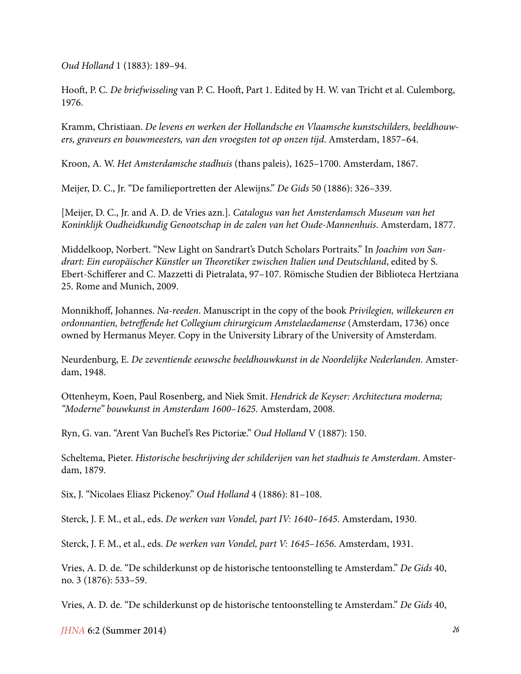*Oud Holland* 1 (1883): 189–94.

Hooft, P. C. *De briefwisseling* van P. C. Hooft, Part 1. Edited by H. W. van Tricht et al. Culemborg, 1976.

Kramm, Christiaan. *De levens en werken der Hollandsche en Vlaamsche kunstschilders, beeldhouwers, graveurs en bouwmeesters, van den vroegsten tot op onzen tijd*. Amsterdam, 1857–64.

Kroon, A. W. *Het Amsterdamsche stadhuis* (thans paleis), 1625–1700. Amsterdam, 1867.

Meijer, D. C., Jr. "De familieportretten der Alewijns." *De Gids* 50 (1886): 326–339.

[Meijer, D. C., Jr. and A. D. de Vries azn.]. *Catalogus van het Amsterdamsch Museum van het Koninklijk Oudheidkundig Genootschap in de zalen van het Oude-Mannenhuis*. Amsterdam, 1877.

Middelkoop, Norbert. "New Light on Sandrart's Dutch Scholars Portraits." In *Joachim von Sandrart: Ein europäischer Künstler un Theoretiker zwischen Italien und Deutschland*, edited by S. Ebert-Schifferer and C. Mazzetti di Pietralata, 97–107. Römische Studien der Biblioteca Hertziana 25. Rome and Munich, 2009.

Monnikhoff, Johannes. *Na-reeden*. Manuscript in the copy of the book *Privilegien, willekeuren en ordonnantien, betreffende het Collegium chirurgicum Amstelaedamense* (Amsterdam, 1736) once owned by Hermanus Meyer. Copy in the University Library of the University of Amsterdam.

Neurdenburg, E. *De zeventiende eeuwsche beeldhouwkunst in de Noordelijke Nederlanden*. Amsterdam, 1948.

Ottenheym, Koen, Paul Rosenberg, and Niek Smit. *Hendrick de Keyser: Architectura moderna; "Moderne" bouwkunst in Amsterdam 1600–1625*. Amsterdam, 2008.

Ryn, G. van. "Arent Van Buchel's Res Pictoriæ." *Oud Holland* V (1887): 150.

Scheltema, Pieter. *Historische beschrijving der schilderijen van het stadhuis te Amsterdam*. Amsterdam, 1879.

Six, J. "Nicolaes Eliasz Pickenoy." *Oud Holland* 4 (1886): 81–108.

Sterck, J. F. M., et al., eds. *De werken van Vondel, part IV: 1640–1645*. Amsterdam, 1930.

Sterck, J. F. M., et al., eds. *De werken van Vondel, part V: 1645–1656*. Amsterdam, 1931.

Vries, A. D. de. "De schilderkunst op de historische tentoonstelling te Amsterdam." *De Gids* 40, no. 3 (1876): 533–59.

Vries, A. D. de. "De schilderkunst op de historische tentoonstelling te Amsterdam." *De Gids* 40,

*JHNA* 6:2 (Summer 2014) *26*